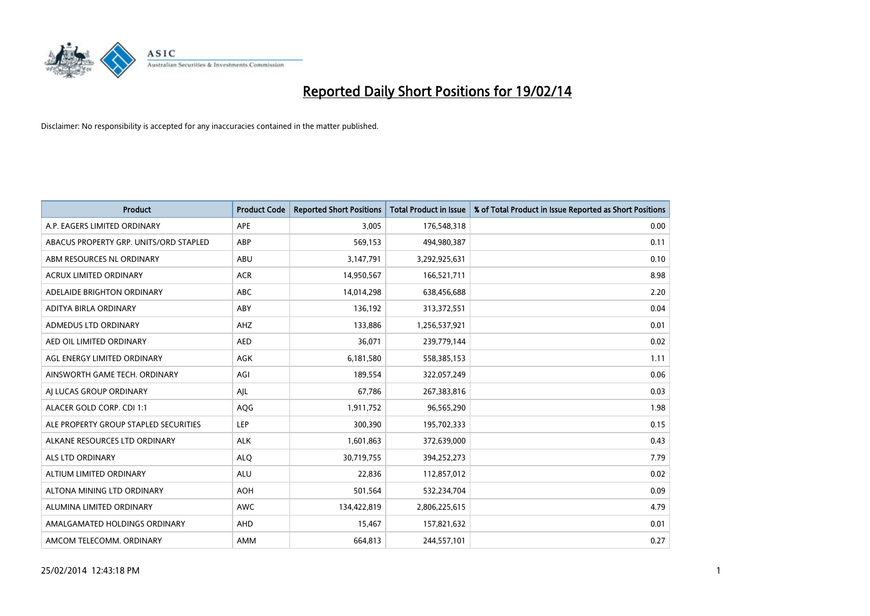

| <b>Product</b>                         | <b>Product Code</b> | <b>Reported Short Positions</b> | <b>Total Product in Issue</b> | % of Total Product in Issue Reported as Short Positions |
|----------------------------------------|---------------------|---------------------------------|-------------------------------|---------------------------------------------------------|
| A.P. EAGERS LIMITED ORDINARY           | APE                 | 3,005                           | 176,548,318                   | 0.00                                                    |
| ABACUS PROPERTY GRP. UNITS/ORD STAPLED | ABP                 | 569,153                         | 494,980,387                   | 0.11                                                    |
| ABM RESOURCES NL ORDINARY              | ABU                 | 3,147,791                       | 3,292,925,631                 | 0.10                                                    |
| <b>ACRUX LIMITED ORDINARY</b>          | <b>ACR</b>          | 14,950,567                      | 166,521,711                   | 8.98                                                    |
| ADELAIDE BRIGHTON ORDINARY             | ABC                 | 14,014,298                      | 638,456,688                   | 2.20                                                    |
| ADITYA BIRLA ORDINARY                  | ABY                 | 136,192                         | 313,372,551                   | 0.04                                                    |
| ADMEDUS LTD ORDINARY                   | <b>AHZ</b>          | 133,886                         | 1,256,537,921                 | 0.01                                                    |
| AED OIL LIMITED ORDINARY               | <b>AED</b>          | 36,071                          | 239,779,144                   | 0.02                                                    |
| AGL ENERGY LIMITED ORDINARY            | AGK                 | 6,181,580                       | 558,385,153                   | 1.11                                                    |
| AINSWORTH GAME TECH. ORDINARY          | AGI                 | 189,554                         | 322,057,249                   | 0.06                                                    |
| AI LUCAS GROUP ORDINARY                | AJL                 | 67,786                          | 267,383,816                   | 0.03                                                    |
| ALACER GOLD CORP. CDI 1:1              | AQG                 | 1,911,752                       | 96,565,290                    | 1.98                                                    |
| ALE PROPERTY GROUP STAPLED SECURITIES  | LEP                 | 300,390                         | 195,702,333                   | 0.15                                                    |
| ALKANE RESOURCES LTD ORDINARY          | <b>ALK</b>          | 1,601,863                       | 372,639,000                   | 0.43                                                    |
| ALS LTD ORDINARY                       | <b>ALQ</b>          | 30,719,755                      | 394,252,273                   | 7.79                                                    |
| ALTIUM LIMITED ORDINARY                | <b>ALU</b>          | 22,836                          | 112,857,012                   | 0.02                                                    |
| ALTONA MINING LTD ORDINARY             | <b>AOH</b>          | 501,564                         | 532,234,704                   | 0.09                                                    |
| ALUMINA LIMITED ORDINARY               | <b>AWC</b>          | 134,422,819                     | 2,806,225,615                 | 4.79                                                    |
| AMALGAMATED HOLDINGS ORDINARY          | AHD                 | 15,467                          | 157,821,632                   | 0.01                                                    |
| AMCOM TELECOMM. ORDINARY               | AMM                 | 664,813                         | 244,557,101                   | 0.27                                                    |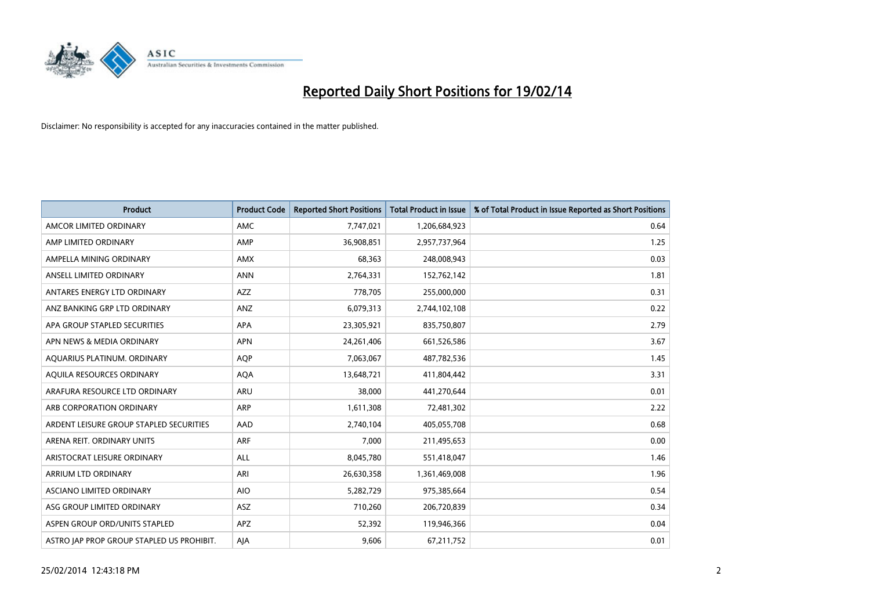

| <b>Product</b>                            | <b>Product Code</b> | <b>Reported Short Positions</b> | <b>Total Product in Issue</b> | % of Total Product in Issue Reported as Short Positions |
|-------------------------------------------|---------------------|---------------------------------|-------------------------------|---------------------------------------------------------|
| AMCOR LIMITED ORDINARY                    | AMC                 | 7,747,021                       | 1,206,684,923                 | 0.64                                                    |
| AMP LIMITED ORDINARY                      | AMP                 | 36,908,851                      | 2,957,737,964                 | 1.25                                                    |
| AMPELLA MINING ORDINARY                   | <b>AMX</b>          | 68,363                          | 248,008,943                   | 0.03                                                    |
| ANSELL LIMITED ORDINARY                   | <b>ANN</b>          | 2,764,331                       | 152,762,142                   | 1.81                                                    |
| ANTARES ENERGY LTD ORDINARY               | AZZ                 | 778,705                         | 255,000,000                   | 0.31                                                    |
| ANZ BANKING GRP LTD ORDINARY              | ANZ                 | 6,079,313                       | 2,744,102,108                 | 0.22                                                    |
| APA GROUP STAPLED SECURITIES              | APA                 | 23,305,921                      | 835,750,807                   | 2.79                                                    |
| APN NEWS & MEDIA ORDINARY                 | <b>APN</b>          | 24, 261, 406                    | 661,526,586                   | 3.67                                                    |
| AQUARIUS PLATINUM. ORDINARY               | <b>AOP</b>          | 7,063,067                       | 487,782,536                   | 1.45                                                    |
| AQUILA RESOURCES ORDINARY                 | <b>AQA</b>          | 13,648,721                      | 411,804,442                   | 3.31                                                    |
| ARAFURA RESOURCE LTD ORDINARY             | ARU                 | 38,000                          | 441,270,644                   | 0.01                                                    |
| ARB CORPORATION ORDINARY                  | ARP                 | 1,611,308                       | 72,481,302                    | 2.22                                                    |
| ARDENT LEISURE GROUP STAPLED SECURITIES   | AAD                 | 2,740,104                       | 405,055,708                   | 0.68                                                    |
| ARENA REIT. ORDINARY UNITS                | <b>ARF</b>          | 7,000                           | 211,495,653                   | 0.00                                                    |
| ARISTOCRAT LEISURE ORDINARY               | <b>ALL</b>          | 8,045,780                       | 551,418,047                   | 1.46                                                    |
| ARRIUM LTD ORDINARY                       | ARI                 | 26,630,358                      | 1,361,469,008                 | 1.96                                                    |
| ASCIANO LIMITED ORDINARY                  | <b>AIO</b>          | 5,282,729                       | 975,385,664                   | 0.54                                                    |
| ASG GROUP LIMITED ORDINARY                | ASZ                 | 710,260                         | 206,720,839                   | 0.34                                                    |
| ASPEN GROUP ORD/UNITS STAPLED             | APZ                 | 52,392                          | 119,946,366                   | 0.04                                                    |
| ASTRO JAP PROP GROUP STAPLED US PROHIBIT. | AJA                 | 9,606                           | 67,211,752                    | 0.01                                                    |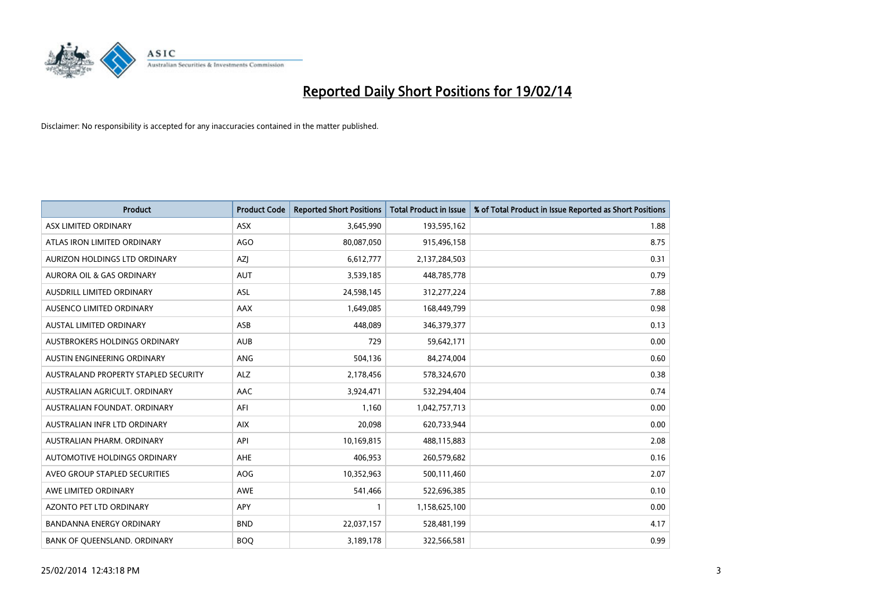

| <b>Product</b>                       | <b>Product Code</b> | <b>Reported Short Positions</b> | <b>Total Product in Issue</b> | % of Total Product in Issue Reported as Short Positions |
|--------------------------------------|---------------------|---------------------------------|-------------------------------|---------------------------------------------------------|
| ASX LIMITED ORDINARY                 | <b>ASX</b>          | 3,645,990                       | 193,595,162                   | 1.88                                                    |
| ATLAS IRON LIMITED ORDINARY          | <b>AGO</b>          | 80,087,050                      | 915,496,158                   | 8.75                                                    |
| AURIZON HOLDINGS LTD ORDINARY        | AZJ                 | 6,612,777                       | 2,137,284,503                 | 0.31                                                    |
| AURORA OIL & GAS ORDINARY            | <b>AUT</b>          | 3,539,185                       | 448,785,778                   | 0.79                                                    |
| AUSDRILL LIMITED ORDINARY            | ASL                 | 24,598,145                      | 312,277,224                   | 7.88                                                    |
| AUSENCO LIMITED ORDINARY             | AAX                 | 1,649,085                       | 168,449,799                   | 0.98                                                    |
| <b>AUSTAL LIMITED ORDINARY</b>       | ASB                 | 448.089                         | 346,379,377                   | 0.13                                                    |
| AUSTBROKERS HOLDINGS ORDINARY        | <b>AUB</b>          | 729                             | 59,642,171                    | 0.00                                                    |
| AUSTIN ENGINEERING ORDINARY          | ANG                 | 504,136                         | 84,274,004                    | 0.60                                                    |
| AUSTRALAND PROPERTY STAPLED SECURITY | ALZ                 | 2,178,456                       | 578,324,670                   | 0.38                                                    |
| AUSTRALIAN AGRICULT. ORDINARY        | AAC                 | 3,924,471                       | 532,294,404                   | 0.74                                                    |
| AUSTRALIAN FOUNDAT, ORDINARY         | AFI                 | 1,160                           | 1,042,757,713                 | 0.00                                                    |
| AUSTRALIAN INFR LTD ORDINARY         | <b>AIX</b>          | 20,098                          | 620,733,944                   | 0.00                                                    |
| AUSTRALIAN PHARM, ORDINARY           | API                 | 10,169,815                      | 488,115,883                   | 2.08                                                    |
| <b>AUTOMOTIVE HOLDINGS ORDINARY</b>  | <b>AHE</b>          | 406,953                         | 260,579,682                   | 0.16                                                    |
| AVEO GROUP STAPLED SECURITIES        | AOG                 | 10,352,963                      | 500,111,460                   | 2.07                                                    |
| AWE LIMITED ORDINARY                 | AWE                 | 541,466                         | 522,696,385                   | 0.10                                                    |
| AZONTO PET LTD ORDINARY              | <b>APY</b>          | 1                               | 1,158,625,100                 | 0.00                                                    |
| <b>BANDANNA ENERGY ORDINARY</b>      | <b>BND</b>          | 22,037,157                      | 528,481,199                   | 4.17                                                    |
| BANK OF QUEENSLAND. ORDINARY         | <b>BOO</b>          | 3,189,178                       | 322,566,581                   | 0.99                                                    |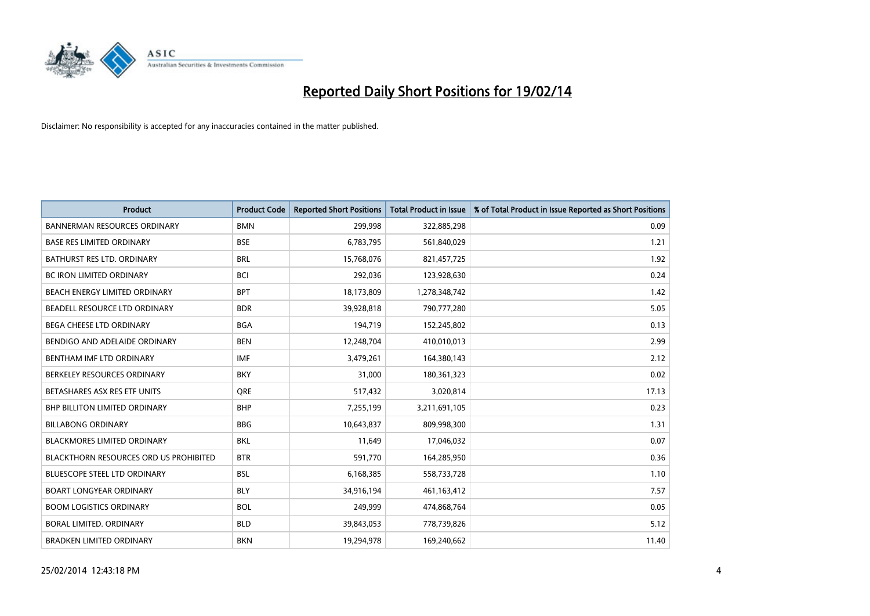

| <b>Product</b>                                | <b>Product Code</b> | <b>Reported Short Positions</b> | <b>Total Product in Issue</b> | % of Total Product in Issue Reported as Short Positions |
|-----------------------------------------------|---------------------|---------------------------------|-------------------------------|---------------------------------------------------------|
| <b>BANNERMAN RESOURCES ORDINARY</b>           | <b>BMN</b>          | 299,998                         | 322,885,298                   | 0.09                                                    |
| BASE RES LIMITED ORDINARY                     | <b>BSE</b>          | 6,783,795                       | 561,840,029                   | 1.21                                                    |
| <b>BATHURST RES LTD. ORDINARY</b>             | <b>BRL</b>          | 15,768,076                      | 821,457,725                   | 1.92                                                    |
| <b>BC IRON LIMITED ORDINARY</b>               | <b>BCI</b>          | 292,036                         | 123,928,630                   | 0.24                                                    |
| BEACH ENERGY LIMITED ORDINARY                 | <b>BPT</b>          | 18,173,809                      | 1,278,348,742                 | 1.42                                                    |
| BEADELL RESOURCE LTD ORDINARY                 | <b>BDR</b>          | 39,928,818                      | 790,777,280                   | 5.05                                                    |
| BEGA CHEESE LTD ORDINARY                      | <b>BGA</b>          | 194,719                         | 152,245,802                   | 0.13                                                    |
| BENDIGO AND ADELAIDE ORDINARY                 | <b>BEN</b>          | 12,248,704                      | 410,010,013                   | 2.99                                                    |
| BENTHAM IMF LTD ORDINARY                      | <b>IMF</b>          | 3,479,261                       | 164,380,143                   | 2.12                                                    |
| BERKELEY RESOURCES ORDINARY                   | <b>BKY</b>          | 31,000                          | 180,361,323                   | 0.02                                                    |
| BETASHARES ASX RES ETF UNITS                  | <b>ORE</b>          | 517,432                         | 3,020,814                     | 17.13                                                   |
| BHP BILLITON LIMITED ORDINARY                 | <b>BHP</b>          | 7,255,199                       | 3,211,691,105                 | 0.23                                                    |
| <b>BILLABONG ORDINARY</b>                     | <b>BBG</b>          | 10,643,837                      | 809,998,300                   | 1.31                                                    |
| <b>BLACKMORES LIMITED ORDINARY</b>            | <b>BKL</b>          | 11,649                          | 17,046,032                    | 0.07                                                    |
| <b>BLACKTHORN RESOURCES ORD US PROHIBITED</b> | <b>BTR</b>          | 591,770                         | 164,285,950                   | 0.36                                                    |
| BLUESCOPE STEEL LTD ORDINARY                  | <b>BSL</b>          | 6,168,385                       | 558,733,728                   | 1.10                                                    |
| <b>BOART LONGYEAR ORDINARY</b>                | <b>BLY</b>          | 34,916,194                      | 461,163,412                   | 7.57                                                    |
| <b>BOOM LOGISTICS ORDINARY</b>                | <b>BOL</b>          | 249,999                         | 474,868,764                   | 0.05                                                    |
| <b>BORAL LIMITED, ORDINARY</b>                | <b>BLD</b>          | 39,843,053                      | 778,739,826                   | 5.12                                                    |
| <b>BRADKEN LIMITED ORDINARY</b>               | <b>BKN</b>          | 19,294,978                      | 169,240,662                   | 11.40                                                   |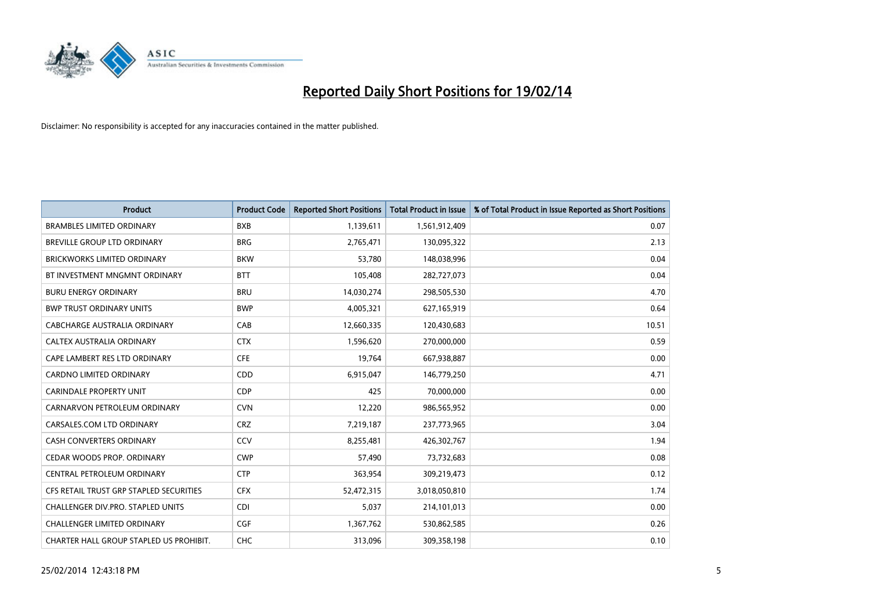

| <b>Product</b>                          | <b>Product Code</b> | <b>Reported Short Positions</b> | <b>Total Product in Issue</b> | % of Total Product in Issue Reported as Short Positions |
|-----------------------------------------|---------------------|---------------------------------|-------------------------------|---------------------------------------------------------|
| <b>BRAMBLES LIMITED ORDINARY</b>        | <b>BXB</b>          | 1,139,611                       | 1,561,912,409                 | 0.07                                                    |
| BREVILLE GROUP LTD ORDINARY             | <b>BRG</b>          | 2,765,471                       | 130,095,322                   | 2.13                                                    |
| <b>BRICKWORKS LIMITED ORDINARY</b>      | <b>BKW</b>          | 53,780                          | 148,038,996                   | 0.04                                                    |
| BT INVESTMENT MNGMNT ORDINARY           | <b>BTT</b>          | 105,408                         | 282,727,073                   | 0.04                                                    |
| <b>BURU ENERGY ORDINARY</b>             | <b>BRU</b>          | 14,030,274                      | 298,505,530                   | 4.70                                                    |
| <b>BWP TRUST ORDINARY UNITS</b>         | <b>BWP</b>          | 4,005,321                       | 627,165,919                   | 0.64                                                    |
| <b>CABCHARGE AUSTRALIA ORDINARY</b>     | CAB                 | 12,660,335                      | 120,430,683                   | 10.51                                                   |
| CALTEX AUSTRALIA ORDINARY               | <b>CTX</b>          | 1,596,620                       | 270,000,000                   | 0.59                                                    |
| CAPE LAMBERT RES LTD ORDINARY           | <b>CFE</b>          | 19,764                          | 667,938,887                   | 0.00                                                    |
| <b>CARDNO LIMITED ORDINARY</b>          | CDD                 | 6,915,047                       | 146,779,250                   | 4.71                                                    |
| <b>CARINDALE PROPERTY UNIT</b>          | <b>CDP</b>          | 425                             | 70,000,000                    | 0.00                                                    |
| CARNARVON PETROLEUM ORDINARY            | <b>CVN</b>          | 12,220                          | 986,565,952                   | 0.00                                                    |
| CARSALES.COM LTD ORDINARY               | <b>CRZ</b>          | 7,219,187                       | 237,773,965                   | 3.04                                                    |
| <b>CASH CONVERTERS ORDINARY</b>         | CCV                 | 8,255,481                       | 426,302,767                   | 1.94                                                    |
| CEDAR WOODS PROP. ORDINARY              | <b>CWP</b>          | 57,490                          | 73,732,683                    | 0.08                                                    |
| CENTRAL PETROLEUM ORDINARY              | <b>CTP</b>          | 363,954                         | 309,219,473                   | 0.12                                                    |
| CFS RETAIL TRUST GRP STAPLED SECURITIES | <b>CFX</b>          | 52,472,315                      | 3,018,050,810                 | 1.74                                                    |
| CHALLENGER DIV.PRO. STAPLED UNITS       | <b>CDI</b>          | 5,037                           | 214,101,013                   | 0.00                                                    |
| <b>CHALLENGER LIMITED ORDINARY</b>      | <b>CGF</b>          | 1,367,762                       | 530,862,585                   | 0.26                                                    |
| CHARTER HALL GROUP STAPLED US PROHIBIT. | <b>CHC</b>          | 313,096                         | 309,358,198                   | 0.10                                                    |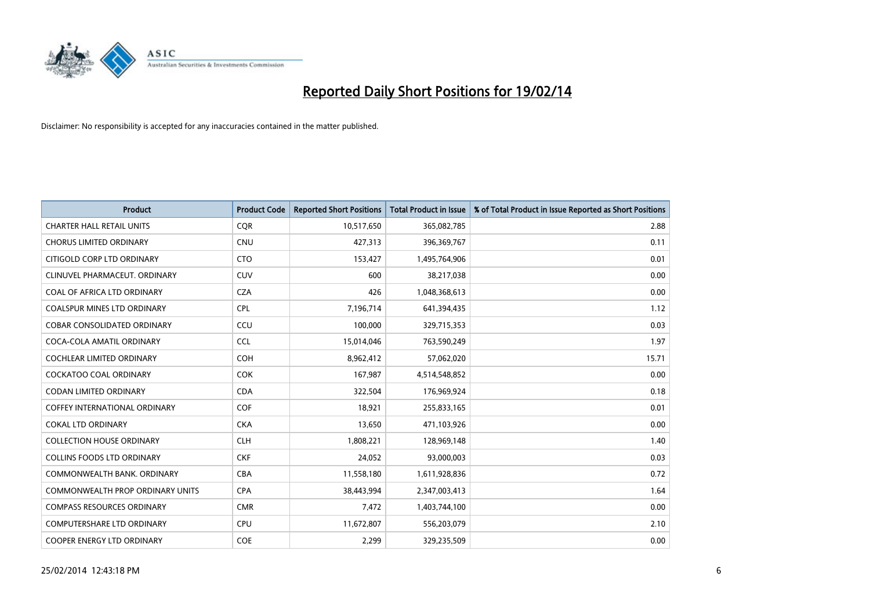

| <b>Product</b>                       | <b>Product Code</b> | <b>Reported Short Positions</b> | <b>Total Product in Issue</b> | % of Total Product in Issue Reported as Short Positions |
|--------------------------------------|---------------------|---------------------------------|-------------------------------|---------------------------------------------------------|
| <b>CHARTER HALL RETAIL UNITS</b>     | <b>COR</b>          | 10,517,650                      | 365,082,785                   | 2.88                                                    |
| <b>CHORUS LIMITED ORDINARY</b>       | <b>CNU</b>          | 427,313                         | 396,369,767                   | 0.11                                                    |
| CITIGOLD CORP LTD ORDINARY           | <b>CTO</b>          | 153,427                         | 1,495,764,906                 | 0.01                                                    |
| CLINUVEL PHARMACEUT, ORDINARY        | <b>CUV</b>          | 600                             | 38,217,038                    | 0.00                                                    |
| COAL OF AFRICA LTD ORDINARY          | <b>CZA</b>          | 426                             | 1,048,368,613                 | 0.00                                                    |
| <b>COALSPUR MINES LTD ORDINARY</b>   | <b>CPL</b>          | 7,196,714                       | 641,394,435                   | 1.12                                                    |
| <b>COBAR CONSOLIDATED ORDINARY</b>   | CCU                 | 100,000                         | 329,715,353                   | 0.03                                                    |
| COCA-COLA AMATIL ORDINARY            | <b>CCL</b>          | 15,014,046                      | 763,590,249                   | 1.97                                                    |
| <b>COCHLEAR LIMITED ORDINARY</b>     | <b>COH</b>          | 8,962,412                       | 57,062,020                    | 15.71                                                   |
| <b>COCKATOO COAL ORDINARY</b>        | <b>COK</b>          | 167,987                         | 4,514,548,852                 | 0.00                                                    |
| <b>CODAN LIMITED ORDINARY</b>        | <b>CDA</b>          | 322,504                         | 176,969,924                   | 0.18                                                    |
| <b>COFFEY INTERNATIONAL ORDINARY</b> | <b>COF</b>          | 18,921                          | 255,833,165                   | 0.01                                                    |
| <b>COKAL LTD ORDINARY</b>            | <b>CKA</b>          | 13,650                          | 471,103,926                   | 0.00                                                    |
| <b>COLLECTION HOUSE ORDINARY</b>     | <b>CLH</b>          | 1,808,221                       | 128,969,148                   | 1.40                                                    |
| <b>COLLINS FOODS LTD ORDINARY</b>    | <b>CKF</b>          | 24,052                          | 93,000,003                    | 0.03                                                    |
| COMMONWEALTH BANK, ORDINARY          | <b>CBA</b>          | 11,558,180                      | 1,611,928,836                 | 0.72                                                    |
| COMMONWEALTH PROP ORDINARY UNITS     | <b>CPA</b>          | 38,443,994                      | 2,347,003,413                 | 1.64                                                    |
| <b>COMPASS RESOURCES ORDINARY</b>    | <b>CMR</b>          | 7,472                           | 1,403,744,100                 | 0.00                                                    |
| <b>COMPUTERSHARE LTD ORDINARY</b>    | <b>CPU</b>          | 11,672,807                      | 556,203,079                   | 2.10                                                    |
| COOPER ENERGY LTD ORDINARY           | <b>COE</b>          | 2,299                           | 329,235,509                   | 0.00                                                    |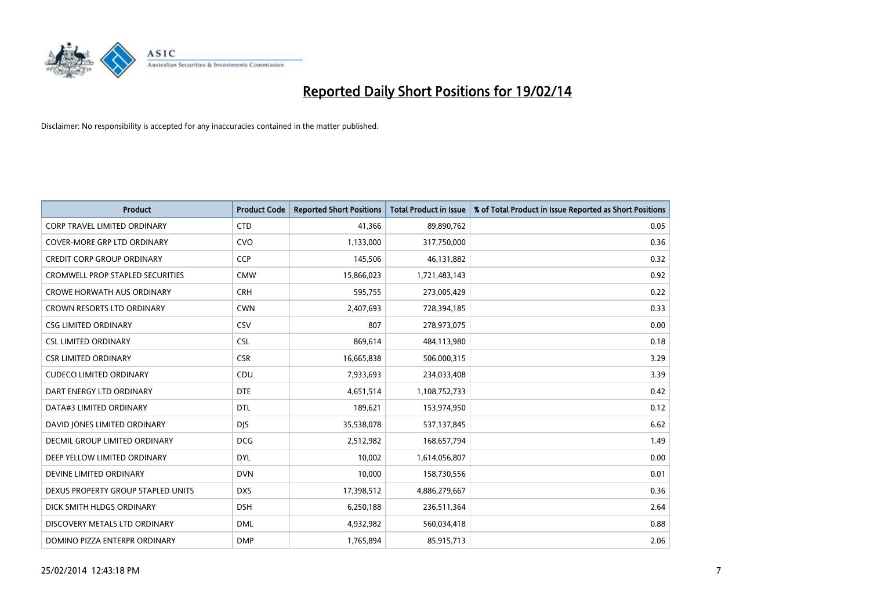

| <b>Product</b>                          | <b>Product Code</b> | <b>Reported Short Positions</b> | <b>Total Product in Issue</b> | % of Total Product in Issue Reported as Short Positions |
|-----------------------------------------|---------------------|---------------------------------|-------------------------------|---------------------------------------------------------|
| <b>CORP TRAVEL LIMITED ORDINARY</b>     | <b>CTD</b>          | 41,366                          | 89,890,762                    | 0.05                                                    |
| <b>COVER-MORE GRP LTD ORDINARY</b>      | <b>CVO</b>          | 1,133,000                       | 317,750,000                   | 0.36                                                    |
| CREDIT CORP GROUP ORDINARY              | <b>CCP</b>          | 145,506                         | 46,131,882                    | 0.32                                                    |
| <b>CROMWELL PROP STAPLED SECURITIES</b> | <b>CMW</b>          | 15,866,023                      | 1,721,483,143                 | 0.92                                                    |
| <b>CROWE HORWATH AUS ORDINARY</b>       | <b>CRH</b>          | 595,755                         | 273,005,429                   | 0.22                                                    |
| <b>CROWN RESORTS LTD ORDINARY</b>       | <b>CWN</b>          | 2,407,693                       | 728,394,185                   | 0.33                                                    |
| <b>CSG LIMITED ORDINARY</b>             | <b>CSV</b>          | 807                             | 278,973,075                   | 0.00                                                    |
| <b>CSL LIMITED ORDINARY</b>             | <b>CSL</b>          | 869,614                         | 484,113,980                   | 0.18                                                    |
| <b>CSR LIMITED ORDINARY</b>             | <b>CSR</b>          | 16,665,838                      | 506,000,315                   | 3.29                                                    |
| <b>CUDECO LIMITED ORDINARY</b>          | CDU                 | 7,933,693                       | 234,033,408                   | 3.39                                                    |
| DART ENERGY LTD ORDINARY                | <b>DTE</b>          | 4,651,514                       | 1,108,752,733                 | 0.42                                                    |
| DATA#3 LIMITED ORDINARY                 | <b>DTL</b>          | 189,621                         | 153,974,950                   | 0.12                                                    |
| DAVID JONES LIMITED ORDINARY            | <b>DJS</b>          | 35,538,078                      | 537,137,845                   | 6.62                                                    |
| <b>DECMIL GROUP LIMITED ORDINARY</b>    | <b>DCG</b>          | 2,512,982                       | 168,657,794                   | 1.49                                                    |
| DEEP YELLOW LIMITED ORDINARY            | <b>DYL</b>          | 10,002                          | 1,614,056,807                 | 0.00                                                    |
| DEVINE LIMITED ORDINARY                 | <b>DVN</b>          | 10,000                          | 158,730,556                   | 0.01                                                    |
| DEXUS PROPERTY GROUP STAPLED UNITS      | <b>DXS</b>          | 17,398,512                      | 4,886,279,667                 | 0.36                                                    |
| DICK SMITH HLDGS ORDINARY               | <b>DSH</b>          | 6,250,188                       | 236,511,364                   | 2.64                                                    |
| DISCOVERY METALS LTD ORDINARY           | <b>DML</b>          | 4,932,982                       | 560,034,418                   | 0.88                                                    |
| DOMINO PIZZA ENTERPR ORDINARY           | <b>DMP</b>          | 1,765,894                       | 85,915,713                    | 2.06                                                    |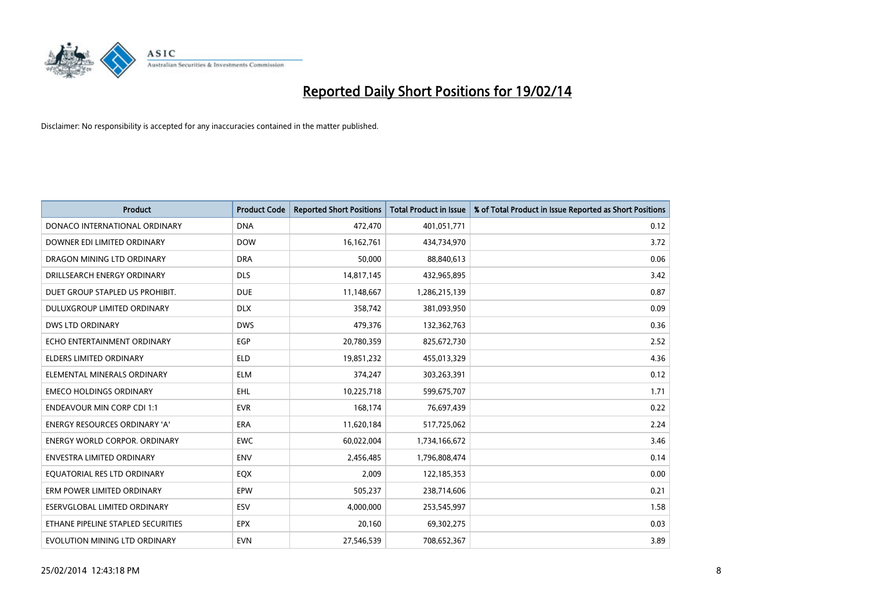

| <b>Product</b>                       | <b>Product Code</b> | <b>Reported Short Positions</b> | <b>Total Product in Issue</b> | % of Total Product in Issue Reported as Short Positions |
|--------------------------------------|---------------------|---------------------------------|-------------------------------|---------------------------------------------------------|
| DONACO INTERNATIONAL ORDINARY        | <b>DNA</b>          | 472,470                         | 401,051,771                   | 0.12                                                    |
| DOWNER EDI LIMITED ORDINARY          | <b>DOW</b>          | 16, 162, 761                    | 434,734,970                   | 3.72                                                    |
| DRAGON MINING LTD ORDINARY           | <b>DRA</b>          | 50,000                          | 88,840,613                    | 0.06                                                    |
| DRILLSEARCH ENERGY ORDINARY          | <b>DLS</b>          | 14,817,145                      | 432,965,895                   | 3.42                                                    |
| DUET GROUP STAPLED US PROHIBIT.      | <b>DUE</b>          | 11,148,667                      | 1,286,215,139                 | 0.87                                                    |
| DULUXGROUP LIMITED ORDINARY          | <b>DLX</b>          | 358,742                         | 381,093,950                   | 0.09                                                    |
| <b>DWS LTD ORDINARY</b>              | <b>DWS</b>          | 479,376                         | 132,362,763                   | 0.36                                                    |
| ECHO ENTERTAINMENT ORDINARY          | <b>EGP</b>          | 20,780,359                      | 825,672,730                   | 2.52                                                    |
| <b>ELDERS LIMITED ORDINARY</b>       | <b>ELD</b>          | 19,851,232                      | 455,013,329                   | 4.36                                                    |
| ELEMENTAL MINERALS ORDINARY          | <b>ELM</b>          | 374,247                         | 303,263,391                   | 0.12                                                    |
| <b>EMECO HOLDINGS ORDINARY</b>       | <b>EHL</b>          | 10,225,718                      | 599,675,707                   | 1.71                                                    |
| <b>ENDEAVOUR MIN CORP CDI 1:1</b>    | <b>EVR</b>          | 168,174                         | 76,697,439                    | 0.22                                                    |
| ENERGY RESOURCES ORDINARY 'A'        | <b>ERA</b>          | 11,620,184                      | 517,725,062                   | 2.24                                                    |
| <b>ENERGY WORLD CORPOR, ORDINARY</b> | <b>EWC</b>          | 60,022,004                      | 1,734,166,672                 | 3.46                                                    |
| <b>ENVESTRA LIMITED ORDINARY</b>     | <b>ENV</b>          | 2,456,485                       | 1,796,808,474                 | 0.14                                                    |
| EQUATORIAL RES LTD ORDINARY          | EQX                 | 2,009                           | 122,185,353                   | 0.00                                                    |
| ERM POWER LIMITED ORDINARY           | EPW                 | 505,237                         | 238,714,606                   | 0.21                                                    |
| <b>ESERVGLOBAL LIMITED ORDINARY</b>  | ESV                 | 4,000,000                       | 253,545,997                   | 1.58                                                    |
| ETHANE PIPELINE STAPLED SECURITIES   | <b>EPX</b>          | 20,160                          | 69,302,275                    | 0.03                                                    |
| EVOLUTION MINING LTD ORDINARY        | <b>EVN</b>          | 27,546,539                      | 708,652,367                   | 3.89                                                    |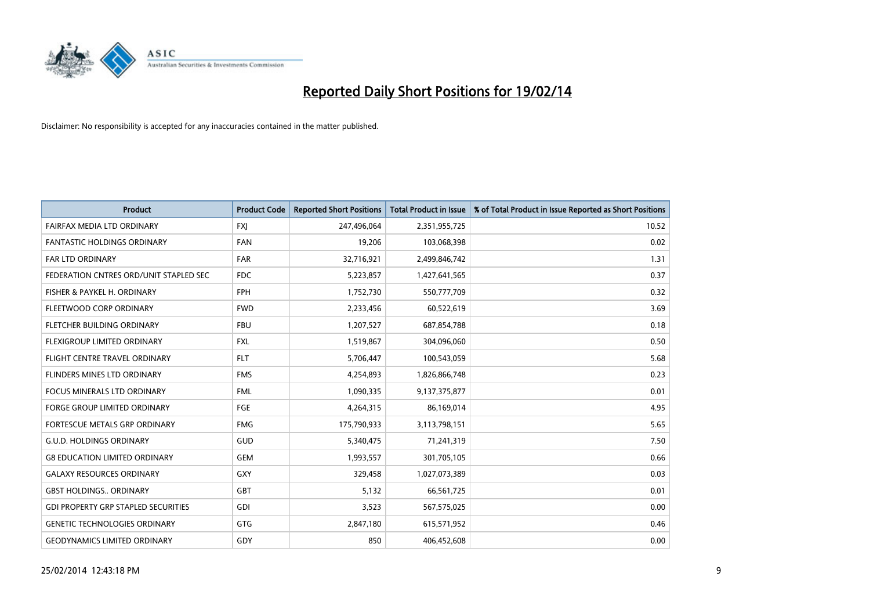

| <b>Product</b>                             | <b>Product Code</b> | <b>Reported Short Positions</b> | <b>Total Product in Issue</b> | % of Total Product in Issue Reported as Short Positions |
|--------------------------------------------|---------------------|---------------------------------|-------------------------------|---------------------------------------------------------|
| <b>FAIRFAX MEDIA LTD ORDINARY</b>          | <b>FXJ</b>          | 247,496,064                     | 2,351,955,725                 | 10.52                                                   |
| <b>FANTASTIC HOLDINGS ORDINARY</b>         | <b>FAN</b>          | 19,206                          | 103,068,398                   | 0.02                                                    |
| <b>FAR LTD ORDINARY</b>                    | <b>FAR</b>          | 32,716,921                      | 2,499,846,742                 | 1.31                                                    |
| FEDERATION CNTRES ORD/UNIT STAPLED SEC     | <b>FDC</b>          | 5,223,857                       | 1,427,641,565                 | 0.37                                                    |
| FISHER & PAYKEL H. ORDINARY                | <b>FPH</b>          | 1,752,730                       | 550,777,709                   | 0.32                                                    |
| FLEETWOOD CORP ORDINARY                    | <b>FWD</b>          | 2,233,456                       | 60,522,619                    | 3.69                                                    |
| FLETCHER BUILDING ORDINARY                 | <b>FBU</b>          | 1,207,527                       | 687,854,788                   | 0.18                                                    |
| FLEXIGROUP LIMITED ORDINARY                | FXL                 | 1,519,867                       | 304,096,060                   | 0.50                                                    |
| FLIGHT CENTRE TRAVEL ORDINARY              | <b>FLT</b>          | 5,706,447                       | 100,543,059                   | 5.68                                                    |
| FLINDERS MINES LTD ORDINARY                | <b>FMS</b>          | 4,254,893                       | 1,826,866,748                 | 0.23                                                    |
| FOCUS MINERALS LTD ORDINARY                | <b>FML</b>          | 1,090,335                       | 9,137,375,877                 | 0.01                                                    |
| FORGE GROUP LIMITED ORDINARY               | FGE                 | 4,264,315                       | 86,169,014                    | 4.95                                                    |
| FORTESCUE METALS GRP ORDINARY              | <b>FMG</b>          | 175,790,933                     | 3,113,798,151                 | 5.65                                                    |
| <b>G.U.D. HOLDINGS ORDINARY</b>            | GUD                 | 5,340,475                       | 71,241,319                    | 7.50                                                    |
| <b>G8 EDUCATION LIMITED ORDINARY</b>       | <b>GEM</b>          | 1,993,557                       | 301,705,105                   | 0.66                                                    |
| <b>GALAXY RESOURCES ORDINARY</b>           | GXY                 | 329,458                         | 1,027,073,389                 | 0.03                                                    |
| <b>GBST HOLDINGS ORDINARY</b>              | GBT                 | 5,132                           | 66,561,725                    | 0.01                                                    |
| <b>GDI PROPERTY GRP STAPLED SECURITIES</b> | GDI                 | 3,523                           | 567,575,025                   | 0.00                                                    |
| <b>GENETIC TECHNOLOGIES ORDINARY</b>       | GTG                 | 2,847,180                       | 615,571,952                   | 0.46                                                    |
| <b>GEODYNAMICS LIMITED ORDINARY</b>        | GDY                 | 850                             | 406,452,608                   | 0.00                                                    |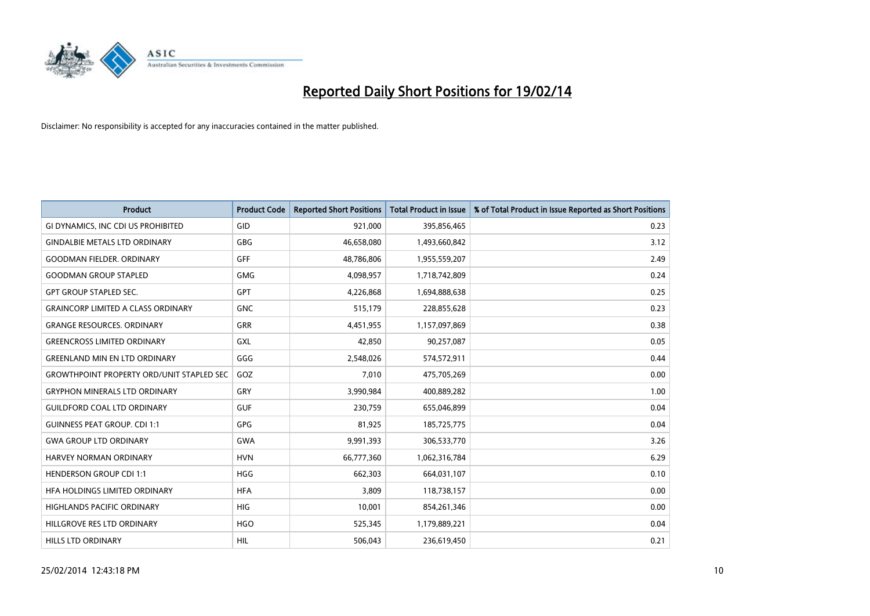

| <b>Product</b>                                   | <b>Product Code</b> | <b>Reported Short Positions</b> | <b>Total Product in Issue</b> | % of Total Product in Issue Reported as Short Positions |
|--------------------------------------------------|---------------------|---------------------------------|-------------------------------|---------------------------------------------------------|
| GI DYNAMICS, INC CDI US PROHIBITED               | GID                 | 921,000                         | 395,856,465                   | 0.23                                                    |
| <b>GINDALBIE METALS LTD ORDINARY</b>             | <b>GBG</b>          | 46,658,080                      | 1,493,660,842                 | 3.12                                                    |
| <b>GOODMAN FIELDER, ORDINARY</b>                 | GFF                 | 48,786,806                      | 1,955,559,207                 | 2.49                                                    |
| <b>GOODMAN GROUP STAPLED</b>                     | <b>GMG</b>          | 4,098,957                       | 1,718,742,809                 | 0.24                                                    |
| <b>GPT GROUP STAPLED SEC.</b>                    | GPT                 | 4,226,868                       | 1,694,888,638                 | 0.25                                                    |
| <b>GRAINCORP LIMITED A CLASS ORDINARY</b>        | <b>GNC</b>          | 515,179                         | 228,855,628                   | 0.23                                                    |
| <b>GRANGE RESOURCES, ORDINARY</b>                | GRR                 | 4,451,955                       | 1,157,097,869                 | 0.38                                                    |
| <b>GREENCROSS LIMITED ORDINARY</b>               | GXL                 | 42,850                          | 90,257,087                    | 0.05                                                    |
| <b>GREENLAND MIN EN LTD ORDINARY</b>             | GGG                 | 2,548,026                       | 574,572,911                   | 0.44                                                    |
| <b>GROWTHPOINT PROPERTY ORD/UNIT STAPLED SEC</b> | GOZ                 | 7,010                           | 475,705,269                   | 0.00                                                    |
| <b>GRYPHON MINERALS LTD ORDINARY</b>             | GRY                 | 3,990,984                       | 400,889,282                   | 1.00                                                    |
| <b>GUILDFORD COAL LTD ORDINARY</b>               | <b>GUF</b>          | 230,759                         | 655,046,899                   | 0.04                                                    |
| <b>GUINNESS PEAT GROUP. CDI 1:1</b>              | <b>GPG</b>          | 81,925                          | 185,725,775                   | 0.04                                                    |
| <b>GWA GROUP LTD ORDINARY</b>                    | GWA                 | 9,991,393                       | 306,533,770                   | 3.26                                                    |
| HARVEY NORMAN ORDINARY                           | <b>HVN</b>          | 66,777,360                      | 1,062,316,784                 | 6.29                                                    |
| <b>HENDERSON GROUP CDI 1:1</b>                   | <b>HGG</b>          | 662,303                         | 664,031,107                   | 0.10                                                    |
| HFA HOLDINGS LIMITED ORDINARY                    | <b>HFA</b>          | 3,809                           | 118,738,157                   | 0.00                                                    |
| HIGHLANDS PACIFIC ORDINARY                       | <b>HIG</b>          | 10,001                          | 854,261,346                   | 0.00                                                    |
| HILLGROVE RES LTD ORDINARY                       | <b>HGO</b>          | 525,345                         | 1,179,889,221                 | 0.04                                                    |
| <b>HILLS LTD ORDINARY</b>                        | <b>HIL</b>          | 506,043                         | 236,619,450                   | 0.21                                                    |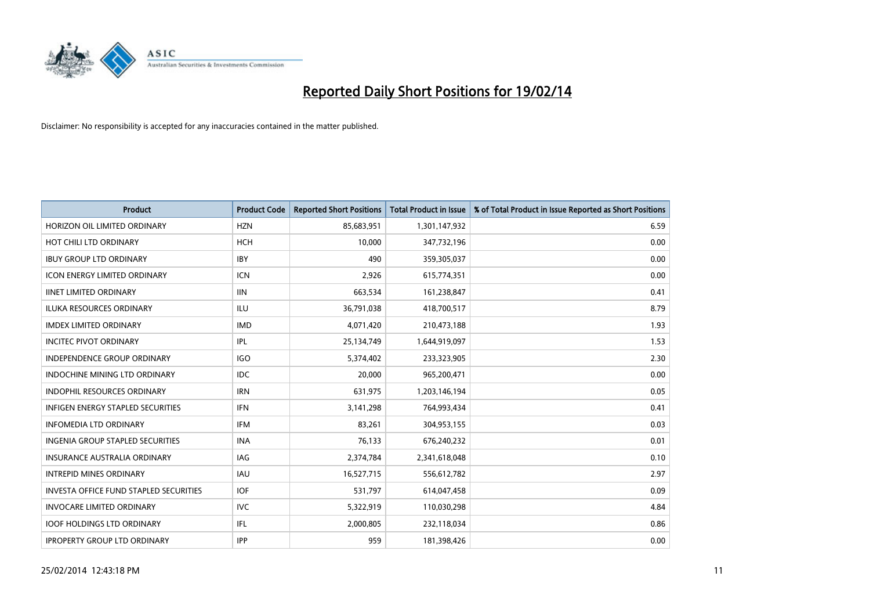

| <b>Product</b>                           | <b>Product Code</b> | <b>Reported Short Positions</b> | <b>Total Product in Issue</b> | % of Total Product in Issue Reported as Short Positions |
|------------------------------------------|---------------------|---------------------------------|-------------------------------|---------------------------------------------------------|
| HORIZON OIL LIMITED ORDINARY             | <b>HZN</b>          | 85,683,951                      | 1,301,147,932                 | 6.59                                                    |
| HOT CHILI LTD ORDINARY                   | <b>HCH</b>          | 10,000                          | 347,732,196                   | 0.00                                                    |
| <b>IBUY GROUP LTD ORDINARY</b>           | <b>IBY</b>          | 490                             | 359,305,037                   | 0.00                                                    |
| <b>ICON ENERGY LIMITED ORDINARY</b>      | <b>ICN</b>          | 2,926                           | 615,774,351                   | 0.00                                                    |
| <b>IINET LIMITED ORDINARY</b>            | <b>IIN</b>          | 663,534                         | 161,238,847                   | 0.41                                                    |
| <b>ILUKA RESOURCES ORDINARY</b>          | ILU                 | 36,791,038                      | 418,700,517                   | 8.79                                                    |
| <b>IMDEX LIMITED ORDINARY</b>            | <b>IMD</b>          | 4,071,420                       | 210,473,188                   | 1.93                                                    |
| <b>INCITEC PIVOT ORDINARY</b>            | IPL                 | 25,134,749                      | 1,644,919,097                 | 1.53                                                    |
| <b>INDEPENDENCE GROUP ORDINARY</b>       | <b>IGO</b>          | 5,374,402                       | 233,323,905                   | 2.30                                                    |
| <b>INDOCHINE MINING LTD ORDINARY</b>     | <b>IDC</b>          | 20,000                          | 965,200,471                   | 0.00                                                    |
| INDOPHIL RESOURCES ORDINARY              | <b>IRN</b>          | 631,975                         | 1,203,146,194                 | 0.05                                                    |
| <b>INFIGEN ENERGY STAPLED SECURITIES</b> | <b>IFN</b>          | 3,141,298                       | 764,993,434                   | 0.41                                                    |
| <b>INFOMEDIA LTD ORDINARY</b>            | <b>IFM</b>          | 83,261                          | 304,953,155                   | 0.03                                                    |
| <b>INGENIA GROUP STAPLED SECURITIES</b>  | <b>INA</b>          | 76,133                          | 676,240,232                   | 0.01                                                    |
| <b>INSURANCE AUSTRALIA ORDINARY</b>      | IAG                 | 2,374,784                       | 2,341,618,048                 | 0.10                                                    |
| <b>INTREPID MINES ORDINARY</b>           | <b>IAU</b>          | 16,527,715                      | 556,612,782                   | 2.97                                                    |
| INVESTA OFFICE FUND STAPLED SECURITIES   | <b>IOF</b>          | 531,797                         | 614,047,458                   | 0.09                                                    |
| <b>INVOCARE LIMITED ORDINARY</b>         | IVC                 | 5,322,919                       | 110,030,298                   | 4.84                                                    |
| <b>IOOF HOLDINGS LTD ORDINARY</b>        | IFL                 | 2,000,805                       | 232,118,034                   | 0.86                                                    |
| <b>IPROPERTY GROUP LTD ORDINARY</b>      | <b>IPP</b>          | 959                             | 181,398,426                   | 0.00                                                    |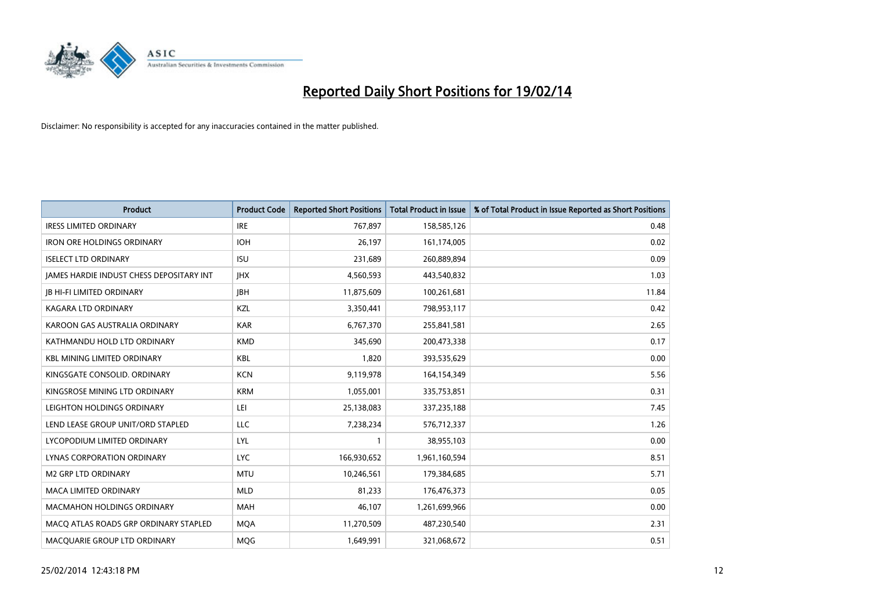

| <b>Product</b>                           | <b>Product Code</b> | <b>Reported Short Positions</b> | <b>Total Product in Issue</b> | % of Total Product in Issue Reported as Short Positions |
|------------------------------------------|---------------------|---------------------------------|-------------------------------|---------------------------------------------------------|
| <b>IRESS LIMITED ORDINARY</b>            | <b>IRE</b>          | 767,897                         | 158,585,126                   | 0.48                                                    |
| <b>IRON ORE HOLDINGS ORDINARY</b>        | <b>IOH</b>          | 26,197                          | 161,174,005                   | 0.02                                                    |
| <b>ISELECT LTD ORDINARY</b>              | <b>ISU</b>          | 231,689                         | 260,889,894                   | 0.09                                                    |
| JAMES HARDIE INDUST CHESS DEPOSITARY INT | <b>IHX</b>          | 4,560,593                       | 443,540,832                   | 1.03                                                    |
| <b>JB HI-FI LIMITED ORDINARY</b>         | <b>IBH</b>          | 11,875,609                      | 100,261,681                   | 11.84                                                   |
| <b>KAGARA LTD ORDINARY</b>               | KZL                 | 3,350,441                       | 798,953,117                   | 0.42                                                    |
| KAROON GAS AUSTRALIA ORDINARY            | <b>KAR</b>          | 6,767,370                       | 255,841,581                   | 2.65                                                    |
| KATHMANDU HOLD LTD ORDINARY              | <b>KMD</b>          | 345,690                         | 200,473,338                   | 0.17                                                    |
| <b>KBL MINING LIMITED ORDINARY</b>       | <b>KBL</b>          | 1,820                           | 393,535,629                   | 0.00                                                    |
| KINGSGATE CONSOLID. ORDINARY             | <b>KCN</b>          | 9,119,978                       | 164,154,349                   | 5.56                                                    |
| KINGSROSE MINING LTD ORDINARY            | <b>KRM</b>          | 1,055,001                       | 335,753,851                   | 0.31                                                    |
| LEIGHTON HOLDINGS ORDINARY               | LEI                 | 25,138,083                      | 337,235,188                   | 7.45                                                    |
| LEND LEASE GROUP UNIT/ORD STAPLED        | LLC                 | 7,238,234                       | 576,712,337                   | 1.26                                                    |
| LYCOPODIUM LIMITED ORDINARY              | LYL                 | 1                               | 38,955,103                    | 0.00                                                    |
| LYNAS CORPORATION ORDINARY               | <b>LYC</b>          | 166,930,652                     | 1,961,160,594                 | 8.51                                                    |
| M2 GRP LTD ORDINARY                      | <b>MTU</b>          | 10,246,561                      | 179,384,685                   | 5.71                                                    |
| MACA LIMITED ORDINARY                    | <b>MLD</b>          | 81,233                          | 176,476,373                   | 0.05                                                    |
| MACMAHON HOLDINGS ORDINARY               | <b>MAH</b>          | 46,107                          | 1,261,699,966                 | 0.00                                                    |
| MACO ATLAS ROADS GRP ORDINARY STAPLED    | <b>MOA</b>          | 11,270,509                      | 487,230,540                   | 2.31                                                    |
| MACQUARIE GROUP LTD ORDINARY             | <b>MOG</b>          | 1,649,991                       | 321,068,672                   | 0.51                                                    |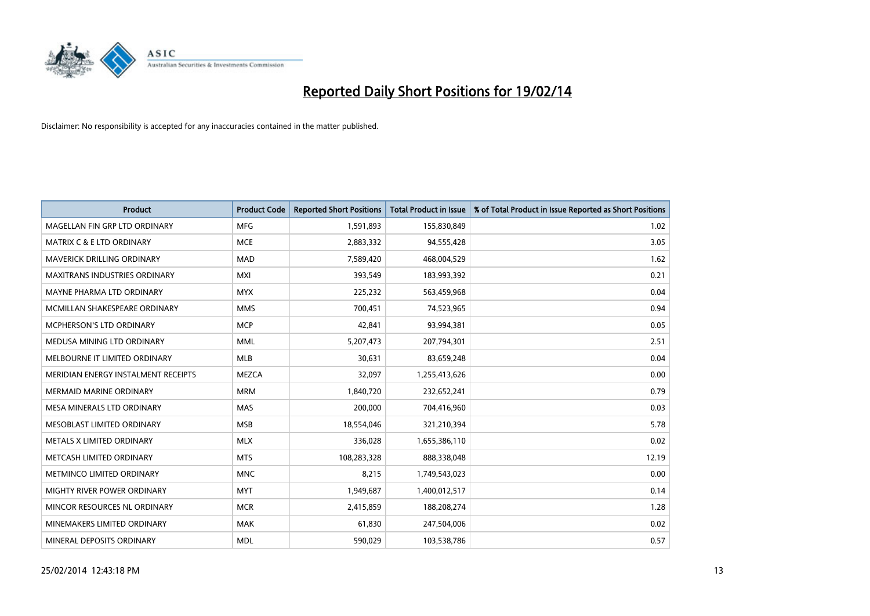

| <b>Product</b>                       | <b>Product Code</b> | <b>Reported Short Positions</b> | <b>Total Product in Issue</b> | % of Total Product in Issue Reported as Short Positions |
|--------------------------------------|---------------------|---------------------------------|-------------------------------|---------------------------------------------------------|
| MAGELLAN FIN GRP LTD ORDINARY        | <b>MFG</b>          | 1,591,893                       | 155,830,849                   | 1.02                                                    |
| <b>MATRIX C &amp; E LTD ORDINARY</b> | <b>MCE</b>          | 2,883,332                       | 94,555,428                    | 3.05                                                    |
| <b>MAVERICK DRILLING ORDINARY</b>    | <b>MAD</b>          | 7,589,420                       | 468,004,529                   | 1.62                                                    |
| MAXITRANS INDUSTRIES ORDINARY        | <b>MXI</b>          | 393,549                         | 183,993,392                   | 0.21                                                    |
| MAYNE PHARMA LTD ORDINARY            | <b>MYX</b>          | 225,232                         | 563,459,968                   | 0.04                                                    |
| MCMILLAN SHAKESPEARE ORDINARY        | <b>MMS</b>          | 700,451                         | 74,523,965                    | 0.94                                                    |
| <b>MCPHERSON'S LTD ORDINARY</b>      | <b>MCP</b>          | 42,841                          | 93,994,381                    | 0.05                                                    |
| MEDUSA MINING LTD ORDINARY           | <b>MML</b>          | 5,207,473                       | 207,794,301                   | 2.51                                                    |
| MELBOURNE IT LIMITED ORDINARY        | <b>MLB</b>          | 30,631                          | 83,659,248                    | 0.04                                                    |
| MERIDIAN ENERGY INSTALMENT RECEIPTS  | <b>MEZCA</b>        | 32,097                          | 1,255,413,626                 | 0.00                                                    |
| <b>MERMAID MARINE ORDINARY</b>       | <b>MRM</b>          | 1,840,720                       | 232,652,241                   | 0.79                                                    |
| MESA MINERALS LTD ORDINARY           | <b>MAS</b>          | 200,000                         | 704,416,960                   | 0.03                                                    |
| MESOBLAST LIMITED ORDINARY           | <b>MSB</b>          | 18,554,046                      | 321,210,394                   | 5.78                                                    |
| METALS X LIMITED ORDINARY            | <b>MLX</b>          | 336,028                         | 1,655,386,110                 | 0.02                                                    |
| METCASH LIMITED ORDINARY             | <b>MTS</b>          | 108,283,328                     | 888,338,048                   | 12.19                                                   |
| METMINCO LIMITED ORDINARY            | <b>MNC</b>          | 8,215                           | 1,749,543,023                 | 0.00                                                    |
| MIGHTY RIVER POWER ORDINARY          | <b>MYT</b>          | 1,949,687                       | 1,400,012,517                 | 0.14                                                    |
| MINCOR RESOURCES NL ORDINARY         | <b>MCR</b>          | 2,415,859                       | 188,208,274                   | 1.28                                                    |
| MINEMAKERS LIMITED ORDINARY          | <b>MAK</b>          | 61,830                          | 247,504,006                   | 0.02                                                    |
| MINERAL DEPOSITS ORDINARY            | <b>MDL</b>          | 590,029                         | 103,538,786                   | 0.57                                                    |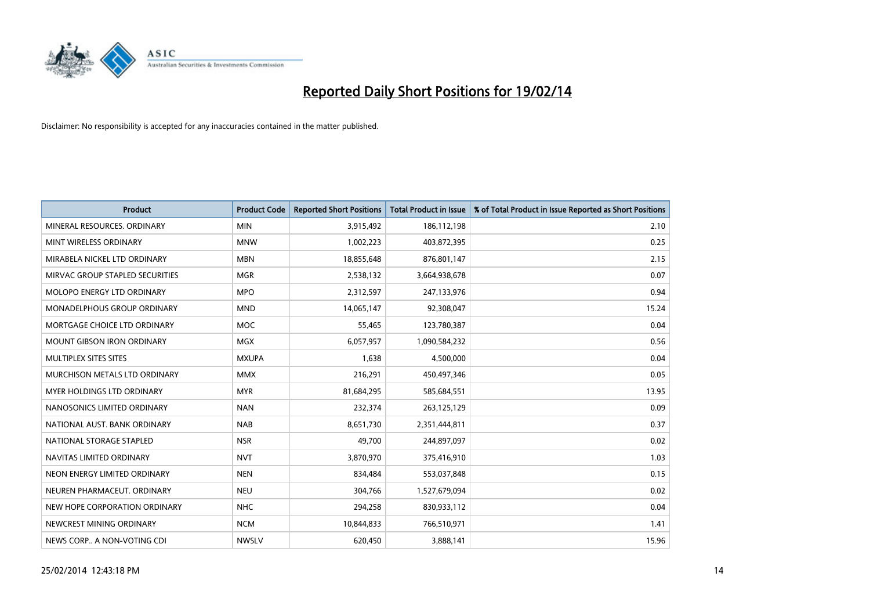

| <b>Product</b>                  | <b>Product Code</b> | <b>Reported Short Positions</b> | <b>Total Product in Issue</b> | % of Total Product in Issue Reported as Short Positions |
|---------------------------------|---------------------|---------------------------------|-------------------------------|---------------------------------------------------------|
| MINERAL RESOURCES, ORDINARY     | <b>MIN</b>          | 3,915,492                       | 186,112,198                   | 2.10                                                    |
| MINT WIRELESS ORDINARY          | <b>MNW</b>          | 1,002,223                       | 403,872,395                   | 0.25                                                    |
| MIRABELA NICKEL LTD ORDINARY    | <b>MBN</b>          | 18,855,648                      | 876,801,147                   | 2.15                                                    |
| MIRVAC GROUP STAPLED SECURITIES | <b>MGR</b>          | 2,538,132                       | 3,664,938,678                 | 0.07                                                    |
| MOLOPO ENERGY LTD ORDINARY      | <b>MPO</b>          | 2,312,597                       | 247,133,976                   | 0.94                                                    |
| MONADELPHOUS GROUP ORDINARY     | <b>MND</b>          | 14,065,147                      | 92,308,047                    | 15.24                                                   |
| MORTGAGE CHOICE LTD ORDINARY    | MOC                 | 55,465                          | 123,780,387                   | 0.04                                                    |
| MOUNT GIBSON IRON ORDINARY      | <b>MGX</b>          | 6,057,957                       | 1,090,584,232                 | 0.56                                                    |
| MULTIPLEX SITES SITES           | <b>MXUPA</b>        | 1,638                           | 4,500,000                     | 0.04                                                    |
| MURCHISON METALS LTD ORDINARY   | <b>MMX</b>          | 216,291                         | 450,497,346                   | 0.05                                                    |
| MYER HOLDINGS LTD ORDINARY      | <b>MYR</b>          | 81,684,295                      | 585,684,551                   | 13.95                                                   |
| NANOSONICS LIMITED ORDINARY     | <b>NAN</b>          | 232,374                         | 263,125,129                   | 0.09                                                    |
| NATIONAL AUST, BANK ORDINARY    | <b>NAB</b>          | 8,651,730                       | 2,351,444,811                 | 0.37                                                    |
| NATIONAL STORAGE STAPLED        | <b>NSR</b>          | 49,700                          | 244,897,097                   | 0.02                                                    |
| NAVITAS LIMITED ORDINARY        | <b>NVT</b>          | 3,870,970                       | 375,416,910                   | 1.03                                                    |
| NEON ENERGY LIMITED ORDINARY    | <b>NEN</b>          | 834,484                         | 553,037,848                   | 0.15                                                    |
| NEUREN PHARMACEUT. ORDINARY     | <b>NEU</b>          | 304,766                         | 1,527,679,094                 | 0.02                                                    |
| NEW HOPE CORPORATION ORDINARY   | <b>NHC</b>          | 294,258                         | 830,933,112                   | 0.04                                                    |
| NEWCREST MINING ORDINARY        | <b>NCM</b>          | 10,844,833                      | 766,510,971                   | 1.41                                                    |
| NEWS CORP A NON-VOTING CDI      | <b>NWSLV</b>        | 620,450                         | 3,888,141                     | 15.96                                                   |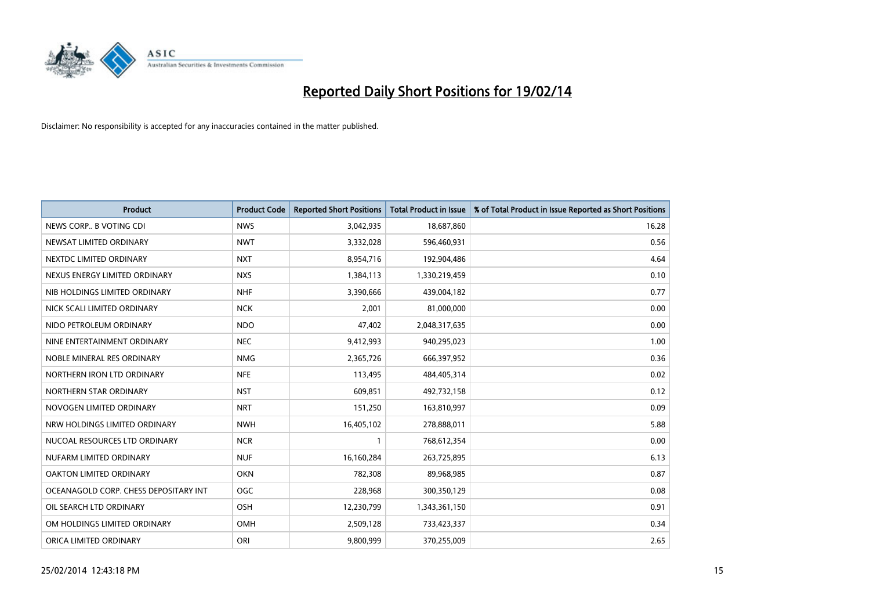

| Product                               | <b>Product Code</b> | <b>Reported Short Positions</b> | <b>Total Product in Issue</b> | % of Total Product in Issue Reported as Short Positions |
|---------------------------------------|---------------------|---------------------------------|-------------------------------|---------------------------------------------------------|
| NEWS CORP B VOTING CDI                | <b>NWS</b>          | 3,042,935                       | 18,687,860                    | 16.28                                                   |
| NEWSAT LIMITED ORDINARY               | <b>NWT</b>          | 3,332,028                       | 596,460,931                   | 0.56                                                    |
| NEXTDC LIMITED ORDINARY               | <b>NXT</b>          | 8,954,716                       | 192,904,486                   | 4.64                                                    |
| NEXUS ENERGY LIMITED ORDINARY         | <b>NXS</b>          | 1,384,113                       | 1,330,219,459                 | 0.10                                                    |
| NIB HOLDINGS LIMITED ORDINARY         | <b>NHF</b>          | 3,390,666                       | 439,004,182                   | 0.77                                                    |
| NICK SCALI LIMITED ORDINARY           | <b>NCK</b>          | 2,001                           | 81,000,000                    | 0.00                                                    |
| NIDO PETROLEUM ORDINARY               | <b>NDO</b>          | 47,402                          | 2,048,317,635                 | 0.00                                                    |
| NINE ENTERTAINMENT ORDINARY           | <b>NEC</b>          | 9,412,993                       | 940,295,023                   | 1.00                                                    |
| NOBLE MINERAL RES ORDINARY            | <b>NMG</b>          | 2,365,726                       | 666,397,952                   | 0.36                                                    |
| NORTHERN IRON LTD ORDINARY            | <b>NFE</b>          | 113,495                         | 484,405,314                   | 0.02                                                    |
| NORTHERN STAR ORDINARY                | <b>NST</b>          | 609,851                         | 492,732,158                   | 0.12                                                    |
| NOVOGEN LIMITED ORDINARY              | <b>NRT</b>          | 151,250                         | 163,810,997                   | 0.09                                                    |
| NRW HOLDINGS LIMITED ORDINARY         | <b>NWH</b>          | 16,405,102                      | 278,888,011                   | 5.88                                                    |
| NUCOAL RESOURCES LTD ORDINARY         | <b>NCR</b>          | 1                               | 768,612,354                   | 0.00                                                    |
| NUFARM LIMITED ORDINARY               | <b>NUF</b>          | 16,160,284                      | 263,725,895                   | 6.13                                                    |
| <b>OAKTON LIMITED ORDINARY</b>        | <b>OKN</b>          | 782,308                         | 89,968,985                    | 0.87                                                    |
| OCEANAGOLD CORP. CHESS DEPOSITARY INT | <b>OGC</b>          | 228,968                         | 300,350,129                   | 0.08                                                    |
| OIL SEARCH LTD ORDINARY               | OSH                 | 12,230,799                      | 1,343,361,150                 | 0.91                                                    |
| OM HOLDINGS LIMITED ORDINARY          | OMH                 | 2,509,128                       | 733,423,337                   | 0.34                                                    |
| ORICA LIMITED ORDINARY                | ORI                 | 9,800,999                       | 370,255,009                   | 2.65                                                    |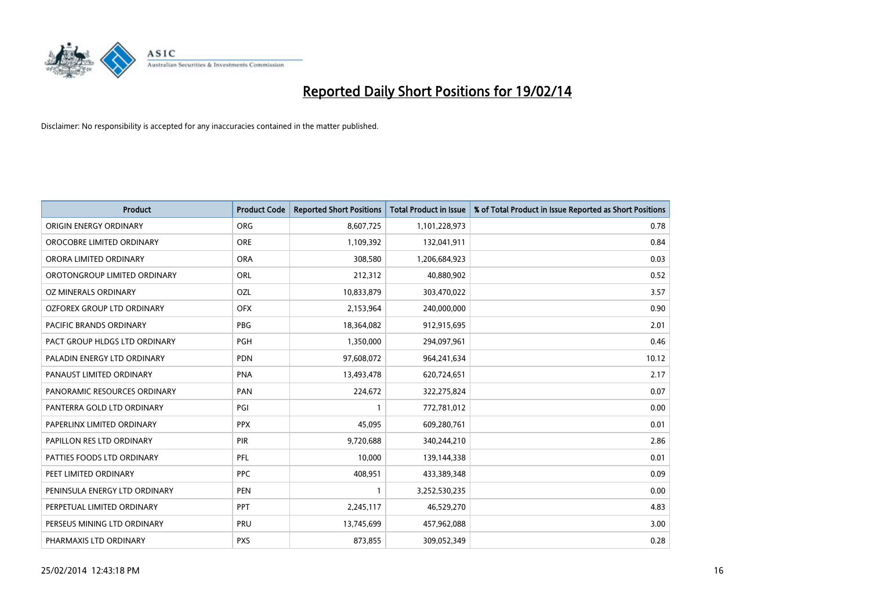

| <b>Product</b>                    | <b>Product Code</b> | <b>Reported Short Positions</b> | <b>Total Product in Issue</b> | % of Total Product in Issue Reported as Short Positions |
|-----------------------------------|---------------------|---------------------------------|-------------------------------|---------------------------------------------------------|
| ORIGIN ENERGY ORDINARY            | <b>ORG</b>          | 8,607,725                       | 1,101,228,973                 | 0.78                                                    |
| OROCOBRE LIMITED ORDINARY         | <b>ORE</b>          | 1,109,392                       | 132,041,911                   | 0.84                                                    |
| ORORA LIMITED ORDINARY            | <b>ORA</b>          | 308,580                         | 1,206,684,923                 | 0.03                                                    |
| OROTONGROUP LIMITED ORDINARY      | ORL                 | 212,312                         | 40,880,902                    | 0.52                                                    |
| OZ MINERALS ORDINARY              | OZL                 | 10,833,879                      | 303,470,022                   | 3.57                                                    |
| <b>OZFOREX GROUP LTD ORDINARY</b> | <b>OFX</b>          | 2,153,964                       | 240,000,000                   | 0.90                                                    |
| PACIFIC BRANDS ORDINARY           | <b>PBG</b>          | 18,364,082                      | 912,915,695                   | 2.01                                                    |
| PACT GROUP HLDGS LTD ORDINARY     | <b>PGH</b>          | 1,350,000                       | 294,097,961                   | 0.46                                                    |
| PALADIN ENERGY LTD ORDINARY       | <b>PDN</b>          | 97,608,072                      | 964,241,634                   | 10.12                                                   |
| PANAUST LIMITED ORDINARY          | <b>PNA</b>          | 13,493,478                      | 620,724,651                   | 2.17                                                    |
| PANORAMIC RESOURCES ORDINARY      | PAN                 | 224,672                         | 322,275,824                   | 0.07                                                    |
| PANTERRA GOLD LTD ORDINARY        | PGI                 | 1                               | 772,781,012                   | 0.00                                                    |
| PAPERLINX LIMITED ORDINARY        | <b>PPX</b>          | 45,095                          | 609,280,761                   | 0.01                                                    |
| PAPILLON RES LTD ORDINARY         | PIR                 | 9,720,688                       | 340,244,210                   | 2.86                                                    |
| PATTIES FOODS LTD ORDINARY        | PFL                 | 10,000                          | 139,144,338                   | 0.01                                                    |
| PEET LIMITED ORDINARY             | <b>PPC</b>          | 408,951                         | 433,389,348                   | 0.09                                                    |
| PENINSULA ENERGY LTD ORDINARY     | <b>PEN</b>          | 1                               | 3,252,530,235                 | 0.00                                                    |
| PERPETUAL LIMITED ORDINARY        | <b>PPT</b>          | 2,245,117                       | 46,529,270                    | 4.83                                                    |
| PERSEUS MINING LTD ORDINARY       | PRU                 | 13,745,699                      | 457,962,088                   | 3.00                                                    |
| PHARMAXIS LTD ORDINARY            | <b>PXS</b>          | 873,855                         | 309,052,349                   | 0.28                                                    |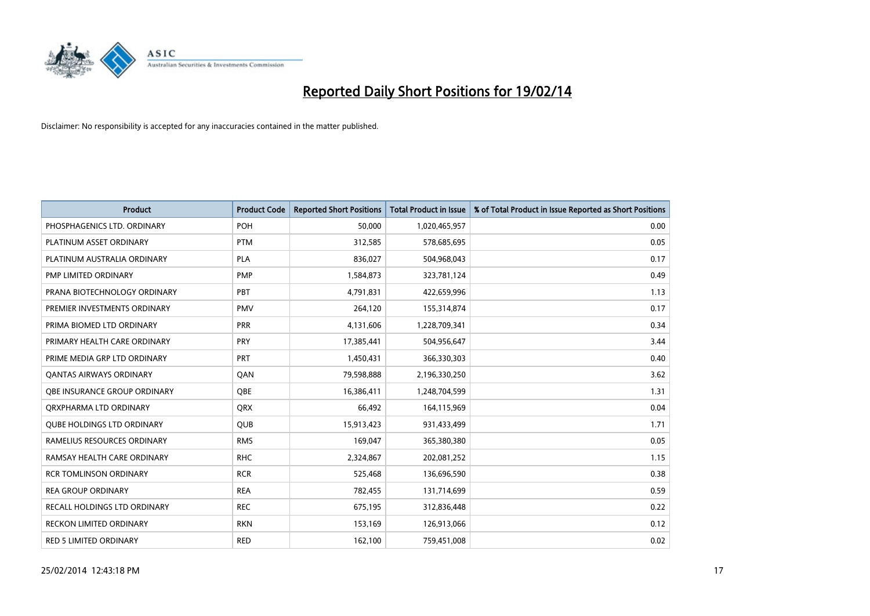

| <b>Product</b>                      | <b>Product Code</b> | <b>Reported Short Positions</b> | <b>Total Product in Issue</b> | % of Total Product in Issue Reported as Short Positions |
|-------------------------------------|---------------------|---------------------------------|-------------------------------|---------------------------------------------------------|
| PHOSPHAGENICS LTD. ORDINARY         | POH                 | 50,000                          | 1,020,465,957                 | 0.00                                                    |
| PLATINUM ASSET ORDINARY             | <b>PTM</b>          | 312,585                         | 578,685,695                   | 0.05                                                    |
| PLATINUM AUSTRALIA ORDINARY         | <b>PLA</b>          | 836,027                         | 504,968,043                   | 0.17                                                    |
| PMP LIMITED ORDINARY                | <b>PMP</b>          | 1,584,873                       | 323,781,124                   | 0.49                                                    |
| PRANA BIOTECHNOLOGY ORDINARY        | PBT                 | 4,791,831                       | 422,659,996                   | 1.13                                                    |
| PREMIER INVESTMENTS ORDINARY        | <b>PMV</b>          | 264,120                         | 155,314,874                   | 0.17                                                    |
| PRIMA BIOMED LTD ORDINARY           | <b>PRR</b>          | 4,131,606                       | 1,228,709,341                 | 0.34                                                    |
| PRIMARY HEALTH CARE ORDINARY        | <b>PRY</b>          | 17,385,441                      | 504,956,647                   | 3.44                                                    |
| PRIME MEDIA GRP LTD ORDINARY        | <b>PRT</b>          | 1,450,431                       | 366,330,303                   | 0.40                                                    |
| <b>QANTAS AIRWAYS ORDINARY</b>      | QAN                 | 79,598,888                      | 2,196,330,250                 | 3.62                                                    |
| <b>OBE INSURANCE GROUP ORDINARY</b> | <b>OBE</b>          | 16,386,411                      | 1,248,704,599                 | 1.31                                                    |
| ORXPHARMA LTD ORDINARY              | QRX                 | 66,492                          | 164,115,969                   | 0.04                                                    |
| <b>QUBE HOLDINGS LTD ORDINARY</b>   | <b>QUB</b>          | 15,913,423                      | 931,433,499                   | 1.71                                                    |
| RAMELIUS RESOURCES ORDINARY         | <b>RMS</b>          | 169,047                         | 365,380,380                   | 0.05                                                    |
| RAMSAY HEALTH CARE ORDINARY         | <b>RHC</b>          | 2,324,867                       | 202,081,252                   | 1.15                                                    |
| <b>RCR TOMLINSON ORDINARY</b>       | <b>RCR</b>          | 525,468                         | 136,696,590                   | 0.38                                                    |
| <b>REA GROUP ORDINARY</b>           | <b>REA</b>          | 782,455                         | 131,714,699                   | 0.59                                                    |
| RECALL HOLDINGS LTD ORDINARY        | <b>REC</b>          | 675,195                         | 312,836,448                   | 0.22                                                    |
| <b>RECKON LIMITED ORDINARY</b>      | <b>RKN</b>          | 153,169                         | 126,913,066                   | 0.12                                                    |
| <b>RED 5 LIMITED ORDINARY</b>       | <b>RED</b>          | 162,100                         | 759,451,008                   | 0.02                                                    |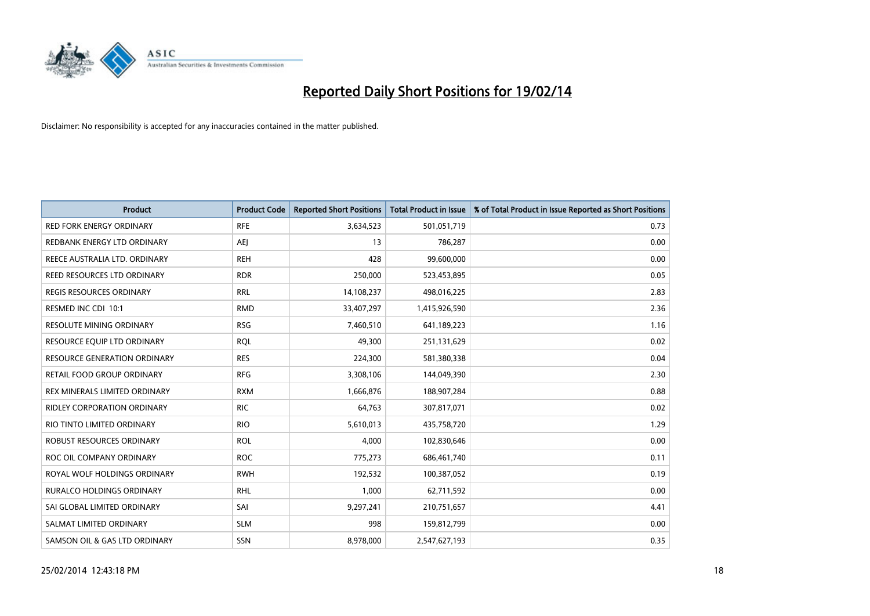

| <b>Product</b>                      | <b>Product Code</b> | <b>Reported Short Positions</b> | <b>Total Product in Issue</b> | % of Total Product in Issue Reported as Short Positions |
|-------------------------------------|---------------------|---------------------------------|-------------------------------|---------------------------------------------------------|
| <b>RED FORK ENERGY ORDINARY</b>     | <b>RFE</b>          | 3,634,523                       | 501,051,719                   | 0.73                                                    |
| REDBANK ENERGY LTD ORDINARY         | <b>AEI</b>          | 13                              | 786,287                       | 0.00                                                    |
| REECE AUSTRALIA LTD. ORDINARY       | <b>REH</b>          | 428                             | 99,600,000                    | 0.00                                                    |
| REED RESOURCES LTD ORDINARY         | <b>RDR</b>          | 250,000                         | 523,453,895                   | 0.05                                                    |
| <b>REGIS RESOURCES ORDINARY</b>     | <b>RRL</b>          | 14,108,237                      | 498,016,225                   | 2.83                                                    |
| RESMED INC CDI 10:1                 | <b>RMD</b>          | 33,407,297                      | 1,415,926,590                 | 2.36                                                    |
| <b>RESOLUTE MINING ORDINARY</b>     | <b>RSG</b>          | 7,460,510                       | 641,189,223                   | 1.16                                                    |
| RESOURCE EQUIP LTD ORDINARY         | <b>RQL</b>          | 49,300                          | 251,131,629                   | 0.02                                                    |
| <b>RESOURCE GENERATION ORDINARY</b> | <b>RES</b>          | 224,300                         | 581,380,338                   | 0.04                                                    |
| RETAIL FOOD GROUP ORDINARY          | <b>RFG</b>          | 3,308,106                       | 144,049,390                   | 2.30                                                    |
| REX MINERALS LIMITED ORDINARY       | <b>RXM</b>          | 1,666,876                       | 188,907,284                   | 0.88                                                    |
| <b>RIDLEY CORPORATION ORDINARY</b>  | <b>RIC</b>          | 64,763                          | 307,817,071                   | 0.02                                                    |
| RIO TINTO LIMITED ORDINARY          | <b>RIO</b>          | 5,610,013                       | 435,758,720                   | 1.29                                                    |
| ROBUST RESOURCES ORDINARY           | <b>ROL</b>          | 4,000                           | 102,830,646                   | 0.00                                                    |
| ROC OIL COMPANY ORDINARY            | <b>ROC</b>          | 775,273                         | 686,461,740                   | 0.11                                                    |
| ROYAL WOLF HOLDINGS ORDINARY        | <b>RWH</b>          | 192,532                         | 100,387,052                   | 0.19                                                    |
| RURALCO HOLDINGS ORDINARY           | <b>RHL</b>          | 1,000                           | 62,711,592                    | 0.00                                                    |
| SAI GLOBAL LIMITED ORDINARY         | SAI                 | 9,297,241                       | 210,751,657                   | 4.41                                                    |
| SALMAT LIMITED ORDINARY             | <b>SLM</b>          | 998                             | 159,812,799                   | 0.00                                                    |
| SAMSON OIL & GAS LTD ORDINARY       | SSN                 | 8,978,000                       | 2,547,627,193                 | 0.35                                                    |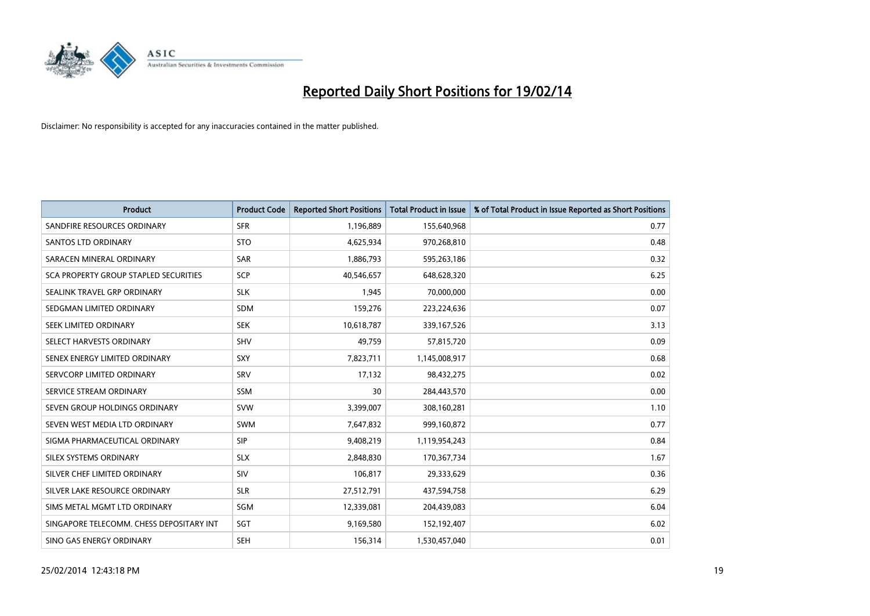

| <b>Product</b>                               | <b>Product Code</b> | <b>Reported Short Positions</b> | <b>Total Product in Issue</b> | % of Total Product in Issue Reported as Short Positions |
|----------------------------------------------|---------------------|---------------------------------|-------------------------------|---------------------------------------------------------|
| SANDFIRE RESOURCES ORDINARY                  | <b>SFR</b>          | 1,196,889                       | 155,640,968                   | 0.77                                                    |
| SANTOS LTD ORDINARY                          | <b>STO</b>          | 4,625,934                       | 970,268,810                   | 0.48                                                    |
| SARACEN MINERAL ORDINARY                     | <b>SAR</b>          | 1,886,793                       | 595,263,186                   | 0.32                                                    |
| <b>SCA PROPERTY GROUP STAPLED SECURITIES</b> | SCP                 | 40,546,657                      | 648,628,320                   | 6.25                                                    |
| SEALINK TRAVEL GRP ORDINARY                  | <b>SLK</b>          | 1,945                           | 70,000,000                    | 0.00                                                    |
| SEDGMAN LIMITED ORDINARY                     | <b>SDM</b>          | 159,276                         | 223,224,636                   | 0.07                                                    |
| SEEK LIMITED ORDINARY                        | <b>SEK</b>          | 10,618,787                      | 339,167,526                   | 3.13                                                    |
| SELECT HARVESTS ORDINARY                     | <b>SHV</b>          | 49.759                          | 57,815,720                    | 0.09                                                    |
| SENEX ENERGY LIMITED ORDINARY                | SXY                 | 7,823,711                       | 1,145,008,917                 | 0.68                                                    |
| SERVCORP LIMITED ORDINARY                    | SRV                 | 17,132                          | 98,432,275                    | 0.02                                                    |
| SERVICE STREAM ORDINARY                      | SSM                 | 30                              | 284,443,570                   | 0.00                                                    |
| SEVEN GROUP HOLDINGS ORDINARY                | <b>SVW</b>          | 3,399,007                       | 308,160,281                   | 1.10                                                    |
| SEVEN WEST MEDIA LTD ORDINARY                | <b>SWM</b>          | 7,647,832                       | 999,160,872                   | 0.77                                                    |
| SIGMA PHARMACEUTICAL ORDINARY                | <b>SIP</b>          | 9,408,219                       | 1,119,954,243                 | 0.84                                                    |
| SILEX SYSTEMS ORDINARY                       | <b>SLX</b>          | 2,848,830                       | 170,367,734                   | 1.67                                                    |
| SILVER CHEF LIMITED ORDINARY                 | SIV                 | 106,817                         | 29,333,629                    | 0.36                                                    |
| SILVER LAKE RESOURCE ORDINARY                | <b>SLR</b>          | 27,512,791                      | 437,594,758                   | 6.29                                                    |
| SIMS METAL MGMT LTD ORDINARY                 | SGM                 | 12,339,081                      | 204,439,083                   | 6.04                                                    |
| SINGAPORE TELECOMM. CHESS DEPOSITARY INT     | SGT                 | 9,169,580                       | 152,192,407                   | 6.02                                                    |
| SINO GAS ENERGY ORDINARY                     | <b>SEH</b>          | 156,314                         | 1,530,457,040                 | 0.01                                                    |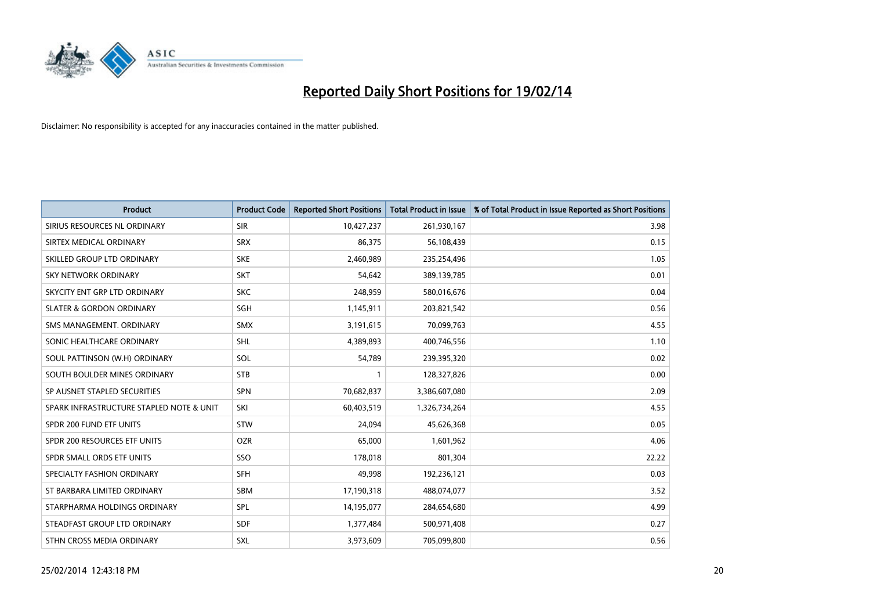

| <b>Product</b>                           | <b>Product Code</b> | <b>Reported Short Positions</b> | <b>Total Product in Issue</b> | % of Total Product in Issue Reported as Short Positions |
|------------------------------------------|---------------------|---------------------------------|-------------------------------|---------------------------------------------------------|
| SIRIUS RESOURCES NL ORDINARY             | <b>SIR</b>          | 10,427,237                      | 261,930,167                   | 3.98                                                    |
| SIRTEX MEDICAL ORDINARY                  | <b>SRX</b>          | 86,375                          | 56,108,439                    | 0.15                                                    |
| SKILLED GROUP LTD ORDINARY               | <b>SKE</b>          | 2,460,989                       | 235,254,496                   | 1.05                                                    |
| <b>SKY NETWORK ORDINARY</b>              | <b>SKT</b>          | 54,642                          | 389,139,785                   | 0.01                                                    |
| SKYCITY ENT GRP LTD ORDINARY             | <b>SKC</b>          | 248,959                         | 580,016,676                   | 0.04                                                    |
| <b>SLATER &amp; GORDON ORDINARY</b>      | SGH                 | 1,145,911                       | 203,821,542                   | 0.56                                                    |
| SMS MANAGEMENT, ORDINARY                 | <b>SMX</b>          | 3,191,615                       | 70,099,763                    | 4.55                                                    |
| SONIC HEALTHCARE ORDINARY                | <b>SHL</b>          | 4,389,893                       | 400,746,556                   | 1.10                                                    |
| SOUL PATTINSON (W.H) ORDINARY            | SOL                 | 54,789                          | 239,395,320                   | 0.02                                                    |
| SOUTH BOULDER MINES ORDINARY             | <b>STB</b>          | 1                               | 128,327,826                   | 0.00                                                    |
| SP AUSNET STAPLED SECURITIES             | <b>SPN</b>          | 70,682,837                      | 3,386,607,080                 | 2.09                                                    |
| SPARK INFRASTRUCTURE STAPLED NOTE & UNIT | SKI                 | 60,403,519                      | 1,326,734,264                 | 4.55                                                    |
| SPDR 200 FUND ETF UNITS                  | <b>STW</b>          | 24,094                          | 45,626,368                    | 0.05                                                    |
| SPDR 200 RESOURCES ETF UNITS             | <b>OZR</b>          | 65,000                          | 1,601,962                     | 4.06                                                    |
| SPDR SMALL ORDS ETF UNITS                | SSO                 | 178,018                         | 801,304                       | 22.22                                                   |
| SPECIALTY FASHION ORDINARY               | <b>SFH</b>          | 49,998                          | 192,236,121                   | 0.03                                                    |
| ST BARBARA LIMITED ORDINARY              | SBM                 | 17,190,318                      | 488,074,077                   | 3.52                                                    |
| STARPHARMA HOLDINGS ORDINARY             | <b>SPL</b>          | 14,195,077                      | 284,654,680                   | 4.99                                                    |
| STEADFAST GROUP LTD ORDINARY             | <b>SDF</b>          | 1,377,484                       | 500,971,408                   | 0.27                                                    |
| STHN CROSS MEDIA ORDINARY                | <b>SXL</b>          | 3,973,609                       | 705,099,800                   | 0.56                                                    |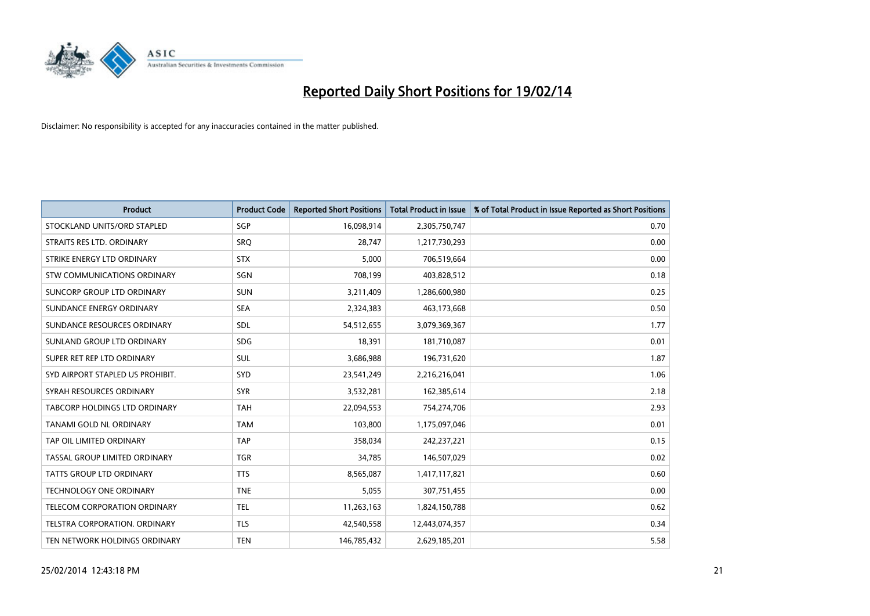

| <b>Product</b>                    | <b>Product Code</b> | <b>Reported Short Positions</b> | <b>Total Product in Issue</b> | % of Total Product in Issue Reported as Short Positions |
|-----------------------------------|---------------------|---------------------------------|-------------------------------|---------------------------------------------------------|
| STOCKLAND UNITS/ORD STAPLED       | SGP                 | 16,098,914                      | 2,305,750,747                 | 0.70                                                    |
| STRAITS RES LTD. ORDINARY         | SRQ                 | 28,747                          | 1,217,730,293                 | 0.00                                                    |
| STRIKE ENERGY LTD ORDINARY        | <b>STX</b>          | 5,000                           | 706,519,664                   | 0.00                                                    |
| STW COMMUNICATIONS ORDINARY       | SGN                 | 708,199                         | 403,828,512                   | 0.18                                                    |
| <b>SUNCORP GROUP LTD ORDINARY</b> | <b>SUN</b>          | 3,211,409                       | 1,286,600,980                 | 0.25                                                    |
| SUNDANCE ENERGY ORDINARY          | <b>SEA</b>          | 2,324,383                       | 463,173,668                   | 0.50                                                    |
| SUNDANCE RESOURCES ORDINARY       | <b>SDL</b>          | 54,512,655                      | 3,079,369,367                 | 1.77                                                    |
| SUNLAND GROUP LTD ORDINARY        | <b>SDG</b>          | 18,391                          | 181,710,087                   | 0.01                                                    |
| SUPER RET REP LTD ORDINARY        | SUL                 | 3,686,988                       | 196,731,620                   | 1.87                                                    |
| SYD AIRPORT STAPLED US PROHIBIT.  | SYD                 | 23,541,249                      | 2,216,216,041                 | 1.06                                                    |
| SYRAH RESOURCES ORDINARY          | <b>SYR</b>          | 3,532,281                       | 162,385,614                   | 2.18                                                    |
| TABCORP HOLDINGS LTD ORDINARY     | <b>TAH</b>          | 22,094,553                      | 754,274,706                   | 2.93                                                    |
| TANAMI GOLD NL ORDINARY           | <b>TAM</b>          | 103,800                         | 1,175,097,046                 | 0.01                                                    |
| TAP OIL LIMITED ORDINARY          | <b>TAP</b>          | 358,034                         | 242,237,221                   | 0.15                                                    |
| TASSAL GROUP LIMITED ORDINARY     | <b>TGR</b>          | 34,785                          | 146,507,029                   | 0.02                                                    |
| <b>TATTS GROUP LTD ORDINARY</b>   | <b>TTS</b>          | 8,565,087                       | 1,417,117,821                 | 0.60                                                    |
| <b>TECHNOLOGY ONE ORDINARY</b>    | <b>TNE</b>          | 5,055                           | 307,751,455                   | 0.00                                                    |
| TELECOM CORPORATION ORDINARY      | <b>TEL</b>          | 11,263,163                      | 1,824,150,788                 | 0.62                                                    |
| TELSTRA CORPORATION, ORDINARY     | <b>TLS</b>          | 42,540,558                      | 12,443,074,357                | 0.34                                                    |
| TEN NETWORK HOLDINGS ORDINARY     | <b>TEN</b>          | 146,785,432                     | 2,629,185,201                 | 5.58                                                    |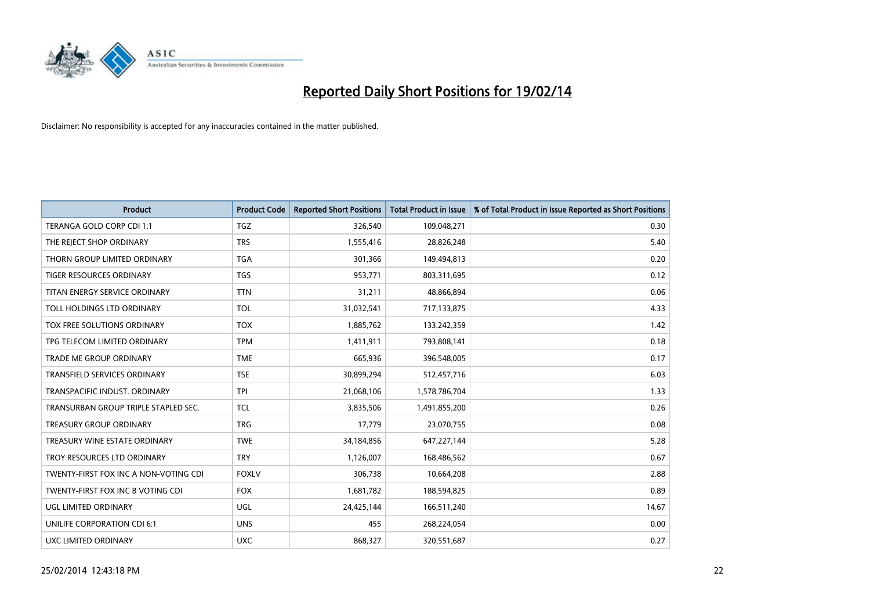

| <b>Product</b>                        | <b>Product Code</b> | <b>Reported Short Positions</b> | <b>Total Product in Issue</b> | % of Total Product in Issue Reported as Short Positions |
|---------------------------------------|---------------------|---------------------------------|-------------------------------|---------------------------------------------------------|
| TERANGA GOLD CORP CDI 1:1             | <b>TGZ</b>          | 326,540                         | 109,048,271                   | 0.30                                                    |
| THE REJECT SHOP ORDINARY              | <b>TRS</b>          | 1,555,416                       | 28,826,248                    | 5.40                                                    |
| THORN GROUP LIMITED ORDINARY          | <b>TGA</b>          | 301,366                         | 149,494,813                   | 0.20                                                    |
| <b>TIGER RESOURCES ORDINARY</b>       | <b>TGS</b>          | 953,771                         | 803,311,695                   | 0.12                                                    |
| TITAN ENERGY SERVICE ORDINARY         | <b>TTN</b>          | 31,211                          | 48,866,894                    | 0.06                                                    |
| TOLL HOLDINGS LTD ORDINARY            | <b>TOL</b>          | 31,032,541                      | 717,133,875                   | 4.33                                                    |
| TOX FREE SOLUTIONS ORDINARY           | <b>TOX</b>          | 1,885,762                       | 133,242,359                   | 1.42                                                    |
| TPG TELECOM LIMITED ORDINARY          | <b>TPM</b>          | 1,411,911                       | 793,808,141                   | 0.18                                                    |
| <b>TRADE ME GROUP ORDINARY</b>        | <b>TME</b>          | 665,936                         | 396,548,005                   | 0.17                                                    |
| <b>TRANSFIELD SERVICES ORDINARY</b>   | <b>TSE</b>          | 30,899,294                      | 512,457,716                   | 6.03                                                    |
| TRANSPACIFIC INDUST. ORDINARY         | <b>TPI</b>          | 21,068,106                      | 1,578,786,704                 | 1.33                                                    |
| TRANSURBAN GROUP TRIPLE STAPLED SEC.  | TCL                 | 3,835,506                       | 1,491,855,200                 | 0.26                                                    |
| <b>TREASURY GROUP ORDINARY</b>        | <b>TRG</b>          | 17,779                          | 23,070,755                    | 0.08                                                    |
| TREASURY WINE ESTATE ORDINARY         | <b>TWE</b>          | 34,184,856                      | 647,227,144                   | 5.28                                                    |
| TROY RESOURCES LTD ORDINARY           | <b>TRY</b>          | 1,126,007                       | 168,486,562                   | 0.67                                                    |
| TWENTY-FIRST FOX INC A NON-VOTING CDI | <b>FOXLV</b>        | 306,738                         | 10,664,208                    | 2.88                                                    |
| TWENTY-FIRST FOX INC B VOTING CDI     | <b>FOX</b>          | 1,681,782                       | 188,594,825                   | 0.89                                                    |
| UGL LIMITED ORDINARY                  | UGL                 | 24,425,144                      | 166,511,240                   | 14.67                                                   |
| UNILIFE CORPORATION CDI 6:1           | <b>UNS</b>          | 455                             | 268,224,054                   | 0.00                                                    |
| UXC LIMITED ORDINARY                  | <b>UXC</b>          | 868,327                         | 320,551,687                   | 0.27                                                    |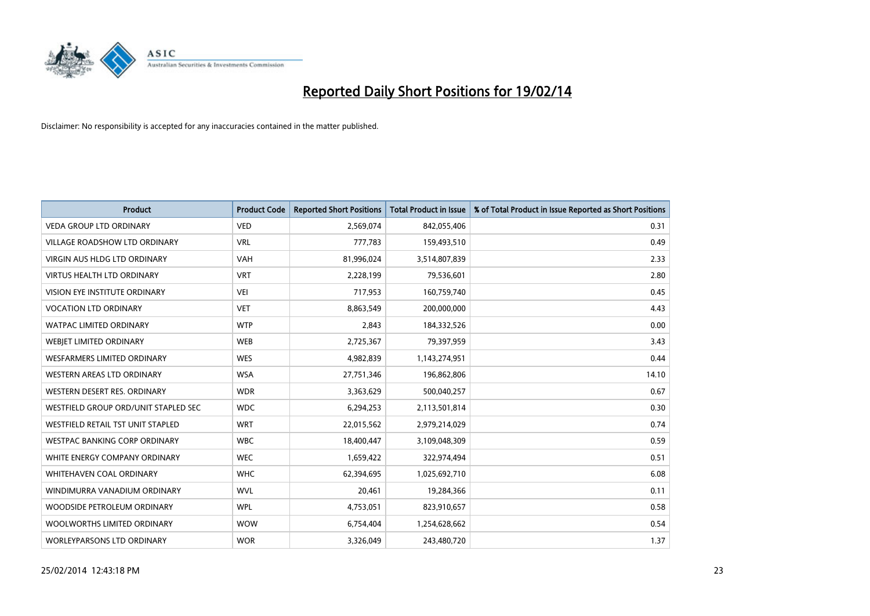

| <b>Product</b>                       | <b>Product Code</b> | <b>Reported Short Positions</b> | <b>Total Product in Issue</b> | % of Total Product in Issue Reported as Short Positions |
|--------------------------------------|---------------------|---------------------------------|-------------------------------|---------------------------------------------------------|
| <b>VEDA GROUP LTD ORDINARY</b>       | <b>VED</b>          | 2,569,074                       | 842,055,406                   | 0.31                                                    |
| <b>VILLAGE ROADSHOW LTD ORDINARY</b> | <b>VRL</b>          | 777,783                         | 159,493,510                   | 0.49                                                    |
| <b>VIRGIN AUS HLDG LTD ORDINARY</b>  | <b>VAH</b>          | 81,996,024                      | 3,514,807,839                 | 2.33                                                    |
| VIRTUS HEALTH LTD ORDINARY           | <b>VRT</b>          | 2,228,199                       | 79,536,601                    | 2.80                                                    |
| VISION EYE INSTITUTE ORDINARY        | <b>VEI</b>          | 717,953                         | 160,759,740                   | 0.45                                                    |
| <b>VOCATION LTD ORDINARY</b>         | <b>VET</b>          | 8,863,549                       | 200,000,000                   | 4.43                                                    |
| <b>WATPAC LIMITED ORDINARY</b>       | <b>WTP</b>          | 2,843                           | 184,332,526                   | 0.00                                                    |
| WEBJET LIMITED ORDINARY              | <b>WEB</b>          | 2,725,367                       | 79,397,959                    | 3.43                                                    |
| <b>WESFARMERS LIMITED ORDINARY</b>   | <b>WES</b>          | 4,982,839                       | 1,143,274,951                 | 0.44                                                    |
| WESTERN AREAS LTD ORDINARY           | <b>WSA</b>          | 27,751,346                      | 196,862,806                   | 14.10                                                   |
| WESTERN DESERT RES. ORDINARY         | <b>WDR</b>          | 3,363,629                       | 500,040,257                   | 0.67                                                    |
| WESTFIELD GROUP ORD/UNIT STAPLED SEC | <b>WDC</b>          | 6,294,253                       | 2,113,501,814                 | 0.30                                                    |
| WESTFIELD RETAIL TST UNIT STAPLED    | <b>WRT</b>          | 22,015,562                      | 2,979,214,029                 | 0.74                                                    |
| <b>WESTPAC BANKING CORP ORDINARY</b> | <b>WBC</b>          | 18,400,447                      | 3,109,048,309                 | 0.59                                                    |
| WHITE ENERGY COMPANY ORDINARY        | <b>WEC</b>          | 1,659,422                       | 322,974,494                   | 0.51                                                    |
| <b>WHITEHAVEN COAL ORDINARY</b>      | <b>WHC</b>          | 62,394,695                      | 1,025,692,710                 | 6.08                                                    |
| WINDIMURRA VANADIUM ORDINARY         | <b>WVL</b>          | 20,461                          | 19,284,366                    | 0.11                                                    |
| WOODSIDE PETROLEUM ORDINARY          | <b>WPL</b>          | 4,753,051                       | 823,910,657                   | 0.58                                                    |
| WOOLWORTHS LIMITED ORDINARY          | <b>WOW</b>          | 6,754,404                       | 1,254,628,662                 | 0.54                                                    |
| WORLEYPARSONS LTD ORDINARY           | <b>WOR</b>          | 3,326,049                       | 243,480,720                   | 1.37                                                    |